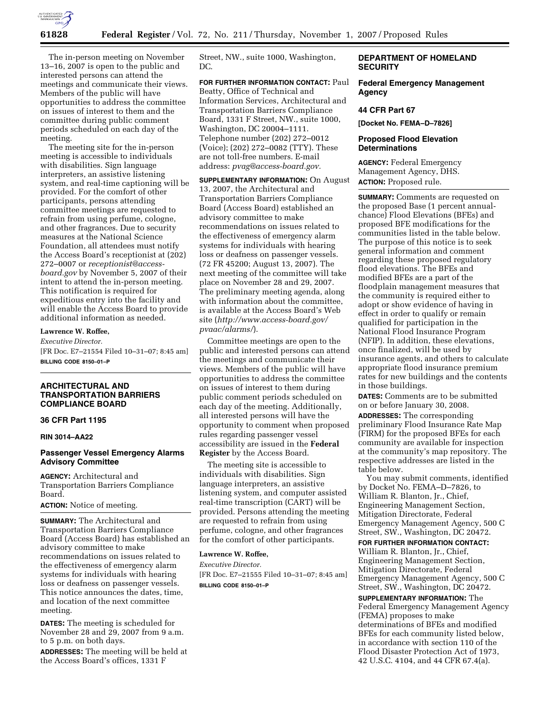

The in-person meeting on November 13–16, 2007 is open to the public and interested persons can attend the meetings and communicate their views. Members of the public will have opportunities to address the committee on issues of interest to them and the committee during public comment periods scheduled on each day of the meeting.

The meeting site for the in-person meeting is accessible to individuals with disabilities. Sign language interpreters, an assistive listening system, and real-time captioning will be provided. For the comfort of other participants, persons attending committee meetings are requested to refrain from using perfume, cologne, and other fragrances. Due to security measures at the National Science Foundation, all attendees must notify the Access Board's receptionist at (202) 272–0007 or *receptionist@accessboard.gov* by November 5, 2007 of their intent to attend the in-person meeting. This notification is required for expeditious entry into the facility and will enable the Access Board to provide additional information as needed.

### **Lawrence W. Roffee,**

*Executive Director.*  [FR Doc. E7–21554 Filed 10–31–07; 8:45 am] **BILLING CODE 8150–01–P** 

## **ARCHITECTURAL AND TRANSPORTATION BARRIERS COMPLIANCE BOARD**

# **36 CFR Part 1195**

### **RIN 3014–AA22**

# **Passenger Vessel Emergency Alarms Advisory Committee**

**AGENCY:** Architectural and Transportation Barriers Compliance Board.

**ACTION:** Notice of meeting.

**SUMMARY:** The Architectural and Transportation Barriers Compliance Board (Access Board) has established an advisory committee to make recommendations on issues related to the effectiveness of emergency alarm systems for individuals with hearing loss or deafness on passenger vessels. This notice announces the dates, time, and location of the next committee meeting.

**DATES:** The meeting is scheduled for November 28 and 29, 2007 from 9 a.m. to 5 p.m. on both days.

**ADDRESSES:** The meeting will be held at the Access Board's offices, 1331 F

Street, NW., suite 1000, Washington, DC.

**FOR FURTHER INFORMATION CONTACT:** Paul Beatty, Office of Technical and Information Services, Architectural and Transportation Barriers Compliance Board, 1331 F Street, NW., suite 1000, Washington, DC 20004–1111. Telephone number (202) 272–0012 (Voice); (202) 272–0082 (TTY). These are not toll-free numbers. E-mail address: *pvag@access-board.gov.* 

**SUPPLEMENTARY INFORMATION:** On August 13, 2007, the Architectural and Transportation Barriers Compliance Board (Access Board) established an advisory committee to make recommendations on issues related to the effectiveness of emergency alarm systems for individuals with hearing loss or deafness on passenger vessels. (72 FR 45200; August 13, 2007). The next meeting of the committee will take place on November 28 and 29, 2007. The preliminary meeting agenda, along with information about the committee, is available at the Access Board's Web site (*http://www.access-board.gov/ pvaac/alarms/*).

Committee meetings are open to the public and interested persons can attend the meetings and communicate their views. Members of the public will have opportunities to address the committee on issues of interest to them during public comment periods scheduled on each day of the meeting. Additionally, all interested persons will have the opportunity to comment when proposed rules regarding passenger vessel accessibility are issued in the **Federal Register** by the Access Board.

The meeting site is accessible to individuals with disabilities. Sign language interpreters, an assistive listening system, and computer assisted real-time transcription (CART) will be provided. Persons attending the meeting are requested to refrain from using perfume, cologne, and other fragrances for the comfort of other participants.

#### **Lawrence W. Roffee,**

*Executive Director.*  [FR Doc. E7–21555 Filed 10–31–07; 8:45 am] **BILLING CODE 8150–01–P** 

# **DEPARTMENT OF HOMELAND SECURITY**

**Federal Emergency Management Agency** 

#### **44 CFR Part 67**

**[Docket No. FEMA–D–7826]** 

# **Proposed Flood Elevation Determinations**

**AGENCY:** Federal Emergency Management Agency, DHS. **ACTION:** Proposed rule.

**SUMMARY:** Comments are requested on the proposed Base (1 percent annualchance) Flood Elevations (BFEs) and proposed BFE modifications for the communities listed in the table below. The purpose of this notice is to seek general information and comment regarding these proposed regulatory flood elevations. The BFEs and modified BFEs are a part of the floodplain management measures that the community is required either to adopt or show evidence of having in effect in order to qualify or remain qualified for participation in the National Flood Insurance Program (NFIP). In addition, these elevations, once finalized, will be used by insurance agents, and others to calculate appropriate flood insurance premium rates for new buildings and the contents in those buildings.

**DATES:** Comments are to be submitted on or before January 30, 2008. **ADDRESSES:** The corresponding preliminary Flood Insurance Rate Map (FIRM) for the proposed BFEs for each community are available for inspection at the community's map repository. The respective addresses are listed in the table below.

You may submit comments, identified by Docket No. FEMA–D–7826, to William R. Blanton, Jr., Chief, Engineering Management Section, Mitigation Directorate, Federal Emergency Management Agency, 500 C Street, SW., Washington, DC 20472.

**FOR FURTHER INFORMATION CONTACT:**  William R. Blanton, Jr., Chief, Engineering Management Section, Mitigation Directorate, Federal Emergency Management Agency, 500 C Street, SW., Washington, DC 20472.

**SUPPLEMENTARY INFORMATION:** The Federal Emergency Management Agency (FEMA) proposes to make determinations of BFEs and modified BFEs for each community listed below, in accordance with section 110 of the Flood Disaster Protection Act of 1973, 42 U.S.C. 4104, and 44 CFR 67.4(a).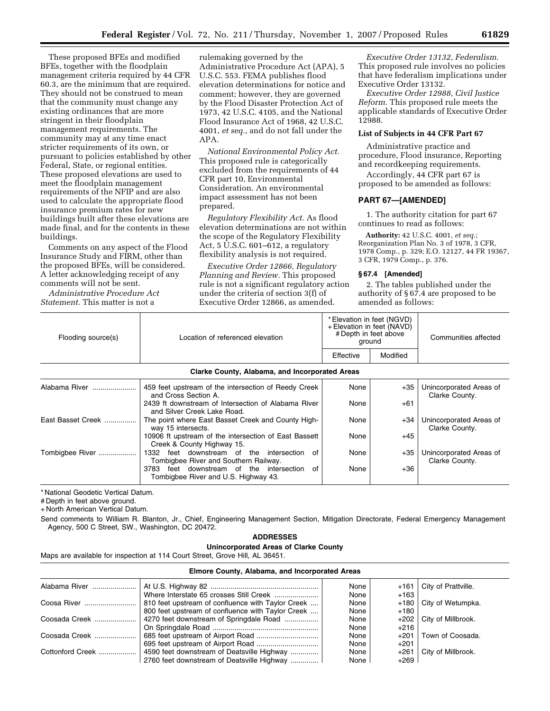These proposed BFEs and modified BFEs, together with the floodplain management criteria required by 44 CFR 60.3, are the minimum that are required. They should not be construed to mean that the community must change any existing ordinances that are more stringent in their floodplain management requirements. The community may at any time enact stricter requirements of its own, or pursuant to policies established by other Federal, State, or regional entities. These proposed elevations are used to meet the floodplain management requirements of the NFIP and are also used to calculate the appropriate flood insurance premium rates for new buildings built after these elevations are made final, and for the contents in these buildings.

Comments on any aspect of the Flood Insurance Study and FIRM, other than the proposed BFEs, will be considered. A letter acknowledging receipt of any comments will not be sent.

*Administrative Procedure Act Statement.* This matter is not a

rulemaking governed by the Administrative Procedure Act (APA), 5 U.S.C. 553. FEMA publishes flood elevation determinations for notice and comment; however, they are governed by the Flood Disaster Protection Act of 1973, 42 U.S.C. 4105, and the National Flood Insurance Act of 1968, 42 U.S.C. 4001, *et seq.*, and do not fall under the APA.

*National Environmental Policy Act.*  This proposed rule is categorically excluded from the requirements of 44 CFR part 10, Environmental Consideration. An environmental impact assessment has not been prepared.

*Regulatory Flexibility Act.* As flood elevation determinations are not within the scope of the Regulatory Flexibility Act, 5 U.S.C. 601–612, a regulatory flexibility analysis is not required.

*Executive Order 12866, Regulatory Planning and Review.* This proposed rule is not a significant regulatory action under the criteria of section 3(f) of Executive Order 12866, as amended.

*Executive Order 13132, Federalism.*  This proposed rule involves no policies that have federalism implications under Executive Order 13132.

*Executive Order 12988, Civil Justice Reform.* This proposed rule meets the applicable standards of Executive Order 12988.

#### **List of Subjects in 44 CFR Part 67**

Administrative practice and procedure, Flood insurance, Reporting and recordkeeping requirements.

Accordingly, 44 CFR part 67 is proposed to be amended as follows:

#### **PART 67—[AMENDED]**

1. The authority citation for part 67 continues to read as follows:

**Authority:** 42 U.S.C. 4001, *et seq.*; Reorganization Plan No. 3 of 1978, 3 CFR, 1978 Comp., p. 329; E.O. 12127, 44 FR 19367, 3 CFR, 1979 Comp., p. 376.

#### **§ 67.4 [Amended]**

2. The tables published under the authority of § 67.4 are proposed to be amended as follows:

| Flooding source(s)                             | Location of referenced elevation                                                        | * Elevation in feet (NGVD)<br>+ Elevation in feet (NAVD)<br># Depth in feet above<br>ground |          | Communities affected                      |  |  |
|------------------------------------------------|-----------------------------------------------------------------------------------------|---------------------------------------------------------------------------------------------|----------|-------------------------------------------|--|--|
|                                                |                                                                                         | Effective                                                                                   | Modified |                                           |  |  |
| Clarke County, Alabama, and Incorporated Areas |                                                                                         |                                                                                             |          |                                           |  |  |
| Alabama River                                  | 459 feet upstream of the intersection of Reedy Creek<br>and Cross Section A.            | None                                                                                        | +35      | Unincorporated Areas of<br>Clarke County. |  |  |
|                                                | 2439 ft downstream of Intersection of Alabama River<br>and Silver Creek Lake Road.      | None                                                                                        | $+61$    |                                           |  |  |
| East Basset Creek                              | The point where East Basset Creek and County High-<br>way 15 intersects.                | None                                                                                        | +34      | Unincorporated Areas of<br>Clarke County. |  |  |
|                                                | 10906 ft upstream of the intersection of East Bassett<br>Creek & County Highway 15.     | None                                                                                        | $+45$    |                                           |  |  |
| Tombigbee River                                | feet downstream of the intersection of<br>1332<br>Tombigbee River and Southern Railway. | None                                                                                        | +35      | Unincorporated Areas of<br>Clarke County. |  |  |
|                                                | 3783<br>feet downstream of the intersection<br>of                                       | None                                                                                        | $+36$    |                                           |  |  |

\* National Geodetic Vertical Datum.

# Depth in feet above ground.

+ North American Vertical Datum.

Send comments to William R. Blanton, Jr., Chief, Engineering Management Section, Mitigation Directorate, Federal Emergency Management Agency, 500 C Street, SW., Washington, DC 20472.

### **ADDRESSES**

**Unincorporated Areas of Clarke County** 

Tombigbee River and U.S. Highway 43.

Maps are available for inspection at 114 Court Street, Grove Hill, AL 36451.

## **Elmore County, Alabama, and Incorporated Areas**  Alabama River ...................... At U.S. Highway 82 ...................................................... None +161 City of Prattville. Where Interstate 65 crosses Still Creek ....................... None | +163<br>810 feet upstream of confluence with Taylor Creek .... None | +180 Coosa River .......................... 810 feet upstream of confluence with Taylor Creek .... None +180 City of Wetumpka. 800 feet upstream of confluence with Taylor Creek .... Coosada Creek ........................ 4270 feet downstream of Springdale Road ........................... None | +202 | City of Millbrook. On Springdale Road ..................................................... None +216 Coosada Creek ..................... 685 feet upstream of Airport Road ............................... None +201 Town of Coosada. 695 feet upstream of Airport Road ............................... None +201 Cottonford Creek ................... 4590 feet downstream of Deatsville Highway .............. None +261 City of Millbrook. 2760 feet downstream of Deatsville Highway ................. None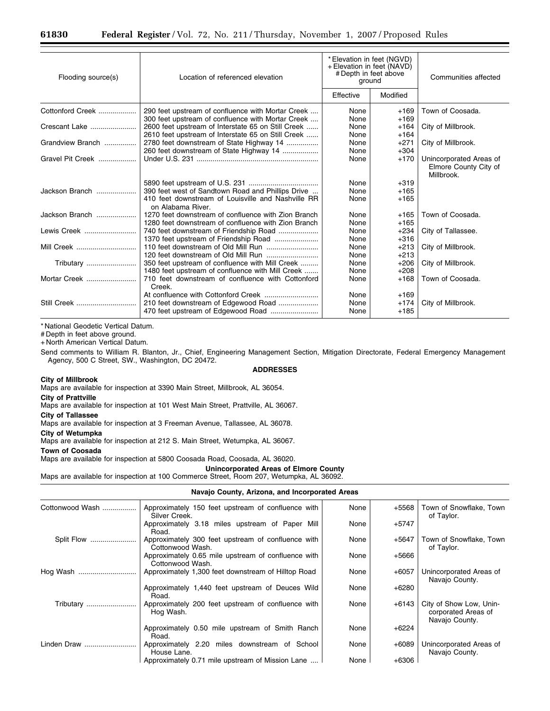| Flooding source(s) | Location of referenced elevation                                                                                             | *Elevation in feet (NGVD)<br>+ Elevation in feet (NAVD)<br># Depth in feet above<br>ground |                            | Communities affected                                           |
|--------------------|------------------------------------------------------------------------------------------------------------------------------|--------------------------------------------------------------------------------------------|----------------------------|----------------------------------------------------------------|
|                    |                                                                                                                              | Effective                                                                                  | Modified                   |                                                                |
| Cottonford Creek   | 290 feet upstream of confluence with Mortar Creek<br>300 feet upstream of confluence with Mortar Creek                       | None<br>None                                                                               | $+169$<br>$+169$           | Town of Coosada.                                               |
| Crescant Lake      | 2600 feet upstream of Interstate 65 on Still Creek<br>2610 feet upstream of Interstate 65 on Still Creek                     | None<br>None                                                                               | $+164$<br>$+164$           | City of Millbrook.                                             |
| Grandview Branch   | 2780 feet downstream of State Highway 14<br>260 feet downstream of State Highway 14                                          | None<br>None                                                                               | $+271$<br>$+304$           | City of Millbrook.                                             |
| Gravel Pit Creek   |                                                                                                                              | None                                                                                       | $+170$                     | Unincorporated Areas of<br>Elmore County City of<br>Millbrook. |
| Jackson Branch     | 390 feet west of Sandtown Road and Phillips Drive<br>410 feet downstream of Louisville and Nashville RR<br>on Alabama River. | None<br>None<br>None                                                                       | $+319$<br>$+165$<br>$+165$ |                                                                |
| Jackson Branch     | 1270 feet downstream of confluence with Zion Branch<br>1280 feet downstream of confluence with Zion Branch                   | None<br>None                                                                               | $+165$<br>$+165$           | Town of Coosada.                                               |
| Lewis Creek        | 740 feet downstream of Friendship Road                                                                                       | None<br>None                                                                               | $+234$<br>$+316$           | City of Tallassee.                                             |
| Mill Creek         |                                                                                                                              | None<br>None                                                                               | $+213$<br>$+213$           | City of Millbrook.                                             |
| Tributary          | 350 feet upstream of confluence with Mill Creek<br>1480 feet upstream of confluence with Mill Creek                          | None<br>None                                                                               | $+206$<br>$+208$           | City of Millbrook.                                             |
| Mortar Creek       | 710 feet downstream of confluence with Cottonford<br>Creek.                                                                  | None                                                                                       | $+168$                     | Town of Coosada.                                               |
| Still Creek        | 210 feet downstream of Edgewood Road                                                                                         | None<br>None<br>None                                                                       | $+169$<br>$+174$<br>$+185$ | City of Millbrook.                                             |

# Depth in feet above ground.

+ North American Vertical Datum.

Send comments to William R. Blanton, Jr., Chief, Engineering Management Section, Mitigation Directorate, Federal Emergency Management Agency, 500 C Street, SW., Washington, DC 20472.

# **ADDRESSES**

# **City of Millbrook**

Maps are available for inspection at 3390 Main Street, Millbrook, AL 36054.

**City of Prattville** 

Maps are available for inspection at 101 West Main Street, Prattville, AL 36067.

**City of Tallassee** 

Maps are available for inspection at 3 Freeman Avenue, Tallassee, AL 36078.

**City of Wetumpka** 

Maps are available for inspection at 212 S. Main Street, Wetumpka, AL 36067.

## **Town of Coosada**

Maps are available for inspection at 5800 Coosada Road, Coosada, AL 36020.

### **Unincorporated Areas of Elmore County**

Maps are available for inspection at 100 Commerce Street, Room 207, Wetumpka, AL 36092.

### **Navajo County, Arizona, and Incorporated Areas**

| Cottonwood Wash | Approximately 150 feet upstream of confluence with<br>Silver Creek.     | None | $+5568$ | Town of Snowflake, Town<br>of Taylor.                            |
|-----------------|-------------------------------------------------------------------------|------|---------|------------------------------------------------------------------|
|                 | Approximately 3.18 miles upstream of Paper Mill<br>Road.                | None | $+5747$ |                                                                  |
| Split Flow      | Approximately 300 feet upstream of confluence with<br>Cottonwood Wash.  | None | $+5647$ | Town of Snowflake, Town<br>of Taylor.                            |
|                 | Approximately 0.65 mile upstream of confluence with<br>Cottonwood Wash. | None | +5666   |                                                                  |
| Hog Wash        | Approximately 1,300 feet downstream of Hilltop Road                     | None | $+6057$ | Unincorporated Areas of<br>Navajo County.                        |
|                 | Approximately 1,440 feet upstream of Deuces Wild<br>Road.               | None | $+6280$ |                                                                  |
| Tributary       | Approximately 200 feet upstream of confluence with<br>Hog Wash.         | None | +6143   | City of Show Low, Unin-<br>corporated Areas of<br>Navajo County. |
|                 | Approximately 0.50 mile upstream of Smith Ranch<br>Road.                | None | $+6224$ |                                                                  |
| Linden Draw     | Approximately 2.20 miles downstream of School<br>House Lane.            | None | $+6089$ | Unincorporated Areas of<br>Navajo County.                        |
|                 | Approximately 0.71 mile upstream of Mission Lane                        | None | $+6306$ |                                                                  |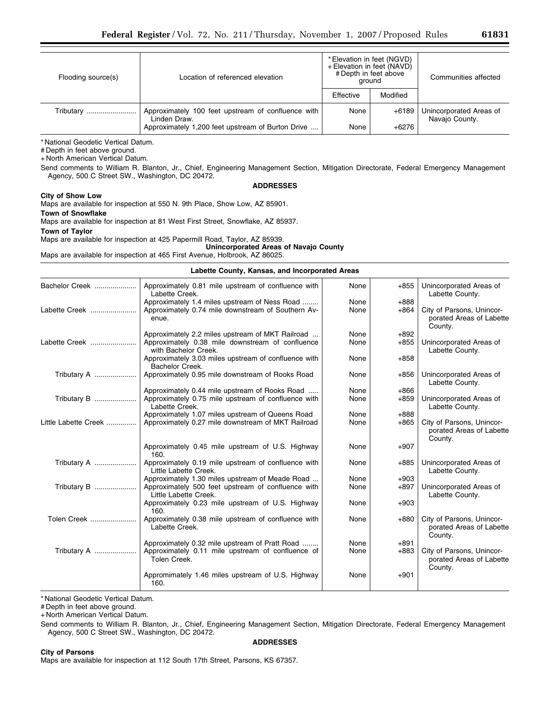# Depth in feet above ground.

+ North American Vertical Datum.

Send comments to William R. Blanton, Jr., Chief, Engineering Management Section, Mitigation Directorate, Federal Emergency Management Agency, 500 C Street SW., Washington, DC 20472.

### **ADDRESSES**

#### **City of Show Low**

Maps are available for inspection at 550 N. 9th Place, Show Low, AZ 85901.

#### **Town of Snowflake**

Maps are available for inspection at 81 West First Street, Snowflake, AZ 85937.

**Town of Taylor** 

Maps are available for inspection at 425 Papermill Road, Taylor, AZ 85939.

**Unincorporated Areas of Navajo County**  Maps are available for inspection at 465 First Avenue, Holbrook, AZ 86025.

# **Labette County, Kansas, and Incorporated Areas**

|                      | Labelle County, Kansas, and Incorporated Areas                               |      |        |                                                                  |  |  |
|----------------------|------------------------------------------------------------------------------|------|--------|------------------------------------------------------------------|--|--|
| Bachelor Creek       | Approximately 0.81 mile upstream of confluence with<br>Labette Creek.        | None | $+855$ | Unincorporated Areas of<br>Labette County.                       |  |  |
|                      | Approximately 1.4 miles upstream of Ness Road                                | None | $+888$ |                                                                  |  |  |
| Labette Creek        | Approximately 0.74 mile downstream of Southern Av-<br>enue.                  | None | $+864$ | City of Parsons, Unincor-<br>porated Areas of Labette<br>County. |  |  |
|                      | Approximately 2.2 miles upstream of MKT Railroad                             | None | $+892$ |                                                                  |  |  |
| Labette Creek        | Approximately 0.38 mile downstream of confluence<br>with Bachelor Creek.     | None | $+855$ | Unincorporated Areas of<br>Labette County.                       |  |  |
|                      | Approximately 3.03 miles upstream of confluence with<br>Bachelor Creek.      | None | $+858$ |                                                                  |  |  |
| Tributary A          | Approximately 0.95 mile downstream of Rooks Road                             | None | $+856$ | Unincorporated Areas of<br>Labette County.                       |  |  |
|                      | Approximately 0.44 mile upstream of Rooks Road                               | None | $+866$ |                                                                  |  |  |
| Tributary B          | Approximately 0.75 mile upstream of confluence with<br>Labette Creek.        | None | $+859$ | Unincorporated Areas of<br>Labette County.                       |  |  |
|                      | Approximately 1.07 miles upstream of Queens Road                             | None | $+888$ |                                                                  |  |  |
| Little Labette Creek | Approximately 0.27 mile downstream of MKT Railroad                           | None | $+865$ | City of Parsons, Unincor-<br>porated Areas of Labette<br>County. |  |  |
|                      | Approximately 0.45 mile upstream of U.S. Highway<br>160.                     | None | $+907$ |                                                                  |  |  |
| Tributary A          | Approximately 0.19 mile upstream of confluence with<br>Little Labette Creek. | None | $+885$ | Unincorporated Areas of<br>Labette County.                       |  |  |
|                      | Approximately 1.30 miles upstream of Meade Road                              | None | $+903$ |                                                                  |  |  |
| Tributary B          | Approximately 500 feet upstream of confluence with<br>Little Labette Creek.  | None | $+897$ | Unincorporated Areas of<br>Labette County.                       |  |  |
|                      | Approximately 0.23 mile upstream of U.S. Highway<br>160.                     | None | $+903$ |                                                                  |  |  |
| Tolen Creek          | Approximately 0.38 mile upstream of confluence with<br>Labette Creek.        | None | $+880$ | City of Parsons, Unincor-<br>porated Areas of Labette<br>County. |  |  |
|                      | Approximately 0.32 mile upstream of Pratt Road                               | None | $+891$ |                                                                  |  |  |
| Tributary A          | Approximately 0.11 mile upstream of confluence of<br>Tolen Creek.            | None | $+883$ | City of Parsons, Unincor-<br>porated Areas of Labette<br>County. |  |  |
|                      | Appromimately 1.46 miles upstream of U.S. Highway<br>160.                    | None | $+901$ |                                                                  |  |  |

\* National Geodetic Vertical Datum.

# Depth in feet above ground.

+ North American Vertical Datum.

Send comments to William R. Blanton, Jr., Chief, Engineering Management Section, Mitigation Directorate, Federal Emergency Management Agency, 500 C Street SW., Washington, DC 20472. **ADDRESSES** 

**City of Parsons**  Maps are available for inspection at 112 South 17th Street, Parsons, KS 67357.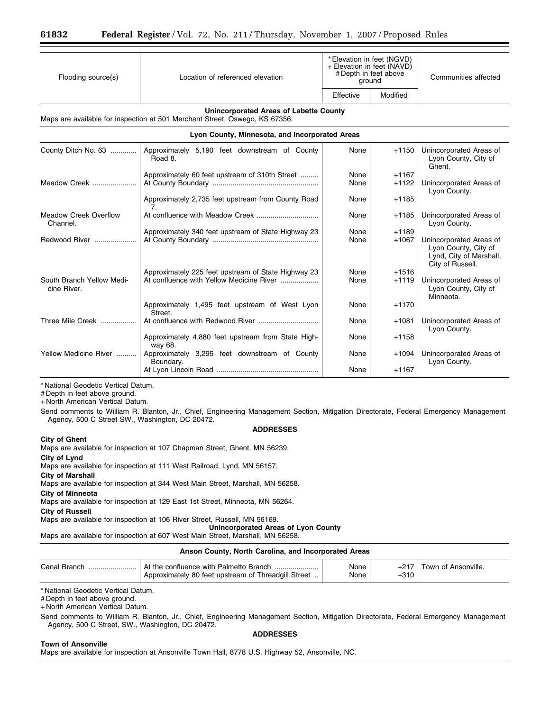| Flooding source(s)                       | Location of referenced elevation                                                                                      | * Elevation in feet (NGVD)<br>+ Elevation in feet (NAVD)<br># Depth in feet above<br>ground |                    | Communities affected                                                                           |
|------------------------------------------|-----------------------------------------------------------------------------------------------------------------------|---------------------------------------------------------------------------------------------|--------------------|------------------------------------------------------------------------------------------------|
|                                          |                                                                                                                       | Effective                                                                                   | Modified           |                                                                                                |
|                                          | Unincorporated Areas of Labette County<br>Maps are available for inspection at 501 Merchant Street, Oswego, KS 67356. |                                                                                             |                    |                                                                                                |
|                                          | Lyon County, Minnesota, and Incorporated Areas                                                                        |                                                                                             |                    |                                                                                                |
| County Ditch No. 63                      | Approximately 5,190 feet downstream of County<br>Road 8.                                                              | None                                                                                        | $+1150$            | Unincorporated Areas of<br>Lyon County, City of<br>Ghent.                                      |
| Meadow Creek                             | Approximately 60 feet upstream of 310th Street                                                                        | None<br>None                                                                                | $+1167$<br>$+1122$ | Unincorporated Areas of<br>Lyon County.                                                        |
|                                          | Approximately 2,735 feet upstream from County Road<br>7 <sub>1</sub>                                                  | None                                                                                        | $+1185$            |                                                                                                |
| <b>Meadow Creek Overflow</b><br>Channel. |                                                                                                                       | None                                                                                        | $+1185$            | Unincorporated Areas of<br>Lyon County.                                                        |
| Redwood River                            | Approximately 340 feet upstream of State Highway 23                                                                   | None<br>None                                                                                | $+1189$<br>$+1067$ | Unincorporated Areas of<br>Lyon County, City of<br>Lynd, City of Marshall,<br>City of Russell. |
| South Branch Yellow Medi-<br>cine River. | Approximately 225 feet upstream of State Highway 23<br>At confluence with Yellow Medicine River                       | None<br>None                                                                                | $+1516$<br>$+1119$ | Unincorporated Areas of<br>Lyon County, City of<br>Minneota.                                   |
|                                          | Approximately 1,495 feet upstream of West Lyon<br>Street.                                                             | None                                                                                        | $+1170$            |                                                                                                |
| Three Mile Creek                         |                                                                                                                       | None                                                                                        | $+1081$            | Unincorporated Areas of<br>Lyon County.                                                        |
|                                          | Approximately 4,880 feet upstream from State High-<br>way 68.                                                         | None                                                                                        | $+1158$            |                                                                                                |
| Yellow Medicine River                    | Approximately 3,295 feet downstream of County<br>Boundary.                                                            | None                                                                                        | $+1094$            | Unincorporated Areas of<br>Lyon County.                                                        |
|                                          |                                                                                                                       | None                                                                                        | $+1167$            |                                                                                                |

# Depth in feet above ground.

+ North American Vertical Datum.

Send comments to William R. Blanton, Jr., Chief, Engineering Management Section, Mitigation Directorate, Federal Emergency Management Agency, 500 C Street SW., Washington, DC 20472.

# **ADDRESSES**

#### **City of Ghent**

Maps are available for inspection at 107 Chapman Street, Ghent, MN 56239.

**City of Lynd** 

Maps are available for inspection at 111 West Railroad, Lynd, MN 56157.

**City of Marshall** 

Maps are available for inspection at 344 West Main Street, Marshall, MN 56258.

**City of Minneota** 

Maps are available for inspection at 129 East 1st Street, Minneota, MN 56264.

**City of Russell** 

Maps are available for inspection at 106 River Street, Russell, MN 56169.

**Unincorporated Areas of Lyon County** 

Maps are available for inspection at 607 West Main Street, Marshall, MN 56258.

#### **Anson County, North Carolina, and Incorporated Areas**

| Canal Branch | At the confluence with Palmetto Branch               | None |        | Town of Ansonville. |
|--------------|------------------------------------------------------|------|--------|---------------------|
|              | Approximately 80 feet upstream of Threadgill Street. | None | $+310$ |                     |

\* National Geodetic Vertical Datum.

# Depth in feet above ground.

+ North American Vertical Datum.

Send comments to William R. Blanton, Jr., Chief, Engineering Management Section, Mitigation Directorate, Federal Emergency Management Agency, 500 C Street, SW., Washington, DC 20472.

### **ADDRESSES**

#### **Town of Ansonville**

Maps are available for inspection at Ansonville Town Hall, 8778 U.S. Highway 52, Ansonville, NC.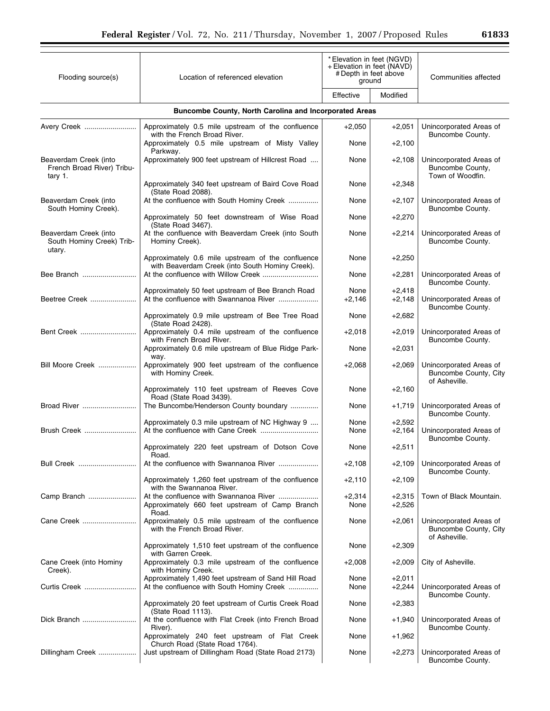| Flooding source(s)                                             | Location of referenced elevation                                                                     | * Elevation in feet (NGVD)<br>+ Elevation in feet (NAVD)<br># Depth in feet above<br>ground |                      | Communities affected                                              |  |  |  |  |
|----------------------------------------------------------------|------------------------------------------------------------------------------------------------------|---------------------------------------------------------------------------------------------|----------------------|-------------------------------------------------------------------|--|--|--|--|
|                                                                |                                                                                                      | Effective                                                                                   | Modified             |                                                                   |  |  |  |  |
|                                                                | <b>Buncombe County, North Carolina and Incorporated Areas</b>                                        |                                                                                             |                      |                                                                   |  |  |  |  |
| Avery Creek                                                    | Approximately 0.5 mile upstream of the confluence                                                    | $+2,050$                                                                                    | $+2,051$             | Unincorporated Areas of                                           |  |  |  |  |
|                                                                | with the French Broad River.<br>Approximately 0.5 mile upstream of Misty Valley<br>Parkway.          | None                                                                                        | $+2,100$             | Buncombe County.                                                  |  |  |  |  |
| Beaverdam Creek (into<br>French Broad River) Tribu-<br>tary 1. | Approximately 900 feet upstream of Hillcrest Road                                                    | None                                                                                        | $+2,108$             | Unincorporated Areas of<br>Buncombe County,<br>Town of Woodfin.   |  |  |  |  |
|                                                                | Approximately 340 feet upstream of Baird Cove Road                                                   | None                                                                                        | $+2,348$             |                                                                   |  |  |  |  |
| Beaverdam Creek (into<br>South Hominy Creek).                  | (State Road 2088).<br>At the confluence with South Hominy Creek                                      | None                                                                                        | $+2,107$             | Unincorporated Areas of<br>Buncombe County.                       |  |  |  |  |
|                                                                | Approximately 50 feet downstream of Wise Road<br>(State Road 3467).                                  | None                                                                                        | $+2,270$             |                                                                   |  |  |  |  |
| Beaverdam Creek (into<br>South Hominy Creek) Trib-<br>utary.   | At the confluence with Beaverdam Creek (into South<br>Hominy Creek).                                 | None                                                                                        | $+2,214$             | Unincorporated Areas of<br>Buncombe County.                       |  |  |  |  |
|                                                                | Approximately 0.6 mile upstream of the confluence<br>with Beaverdam Creek (into South Hominy Creek). | None                                                                                        | $+2,250$             |                                                                   |  |  |  |  |
| Bee Branch                                                     |                                                                                                      | None                                                                                        | $+2,281$             | Unincorporated Areas of<br>Buncombe County.                       |  |  |  |  |
| Beetree Creek                                                  | Approximately 50 feet upstream of Bee Branch Road<br>At the confluence with Swannanoa River          | None<br>$+2,146$                                                                            | $+2,418$<br>$+2,148$ | Unincorporated Areas of<br>Buncombe County.                       |  |  |  |  |
|                                                                | Approximately 0.9 mile upstream of Bee Tree Road<br>(State Road 2428).                               | None                                                                                        | $+2,682$             |                                                                   |  |  |  |  |
| Bent Creek                                                     | Approximately 0.4 mile upstream of the confluence<br>with French Broad River.                        | $+2,018$                                                                                    | $+2,019$             | Unincorporated Areas of<br>Buncombe County.                       |  |  |  |  |
|                                                                | Approximately 0.6 mile upstream of Blue Ridge Park-                                                  | None                                                                                        | $+2,031$             |                                                                   |  |  |  |  |
| Bill Moore Creek                                               | way.<br>Approximately 900 feet upstream of the confluence<br>with Hominy Creek.                      | $+2,068$                                                                                    | $+2,069$             | Unincorporated Areas of<br>Buncombe County, City<br>of Asheville. |  |  |  |  |
|                                                                | Approximately 110 feet upstream of Reeves Cove<br>Road (State Road 3439).                            | None                                                                                        | $+2,160$             |                                                                   |  |  |  |  |
| Broad River                                                    | The Buncombe/Henderson County boundary                                                               | None                                                                                        | $+1,719$             | Unincorporated Areas of<br>Buncombe County.                       |  |  |  |  |
| Brush Creek                                                    | Approximately 0.3 mile upstream of NC Highway 9                                                      | None<br>None                                                                                | $+2,592$<br>$+2,164$ | Unincorporated Areas of<br>Buncombe County.                       |  |  |  |  |
|                                                                | Approximately 220 feet upstream of Dotson Cove<br>Road.                                              | None                                                                                        | $+2,511$             |                                                                   |  |  |  |  |
| Bull Creek                                                     | At the confluence with Swannanoa River                                                               | $+2,108$                                                                                    | $+2,109$             | Unincorporated Areas of<br>Buncombe County.                       |  |  |  |  |
|                                                                | Approximately 1,260 feet upstream of the confluence<br>with the Swannanoa River.                     | $+2,110$                                                                                    | $+2,109$             |                                                                   |  |  |  |  |
| Camp Branch                                                    | At the confluence with Swannanoa River<br>Approximately 660 feet upstream of Camp Branch             | $+2,314$<br>None                                                                            | $+2,315$<br>$+2,526$ | Town of Black Mountain.                                           |  |  |  |  |
| Cane Creek                                                     | Road.<br>Approximately 0.5 mile upstream of the confluence<br>with the French Broad River.           | None                                                                                        | $+2,061$             | Unincorporated Areas of<br>Buncombe County, City                  |  |  |  |  |
|                                                                | Approximately 1,510 feet upstream of the confluence<br>with Garren Creek.                            | None                                                                                        | $+2,309$             | of Asheville.                                                     |  |  |  |  |
| Cane Creek (into Hominy<br>Creek).                             | Approximately 0.3 mile upstream of the confluence<br>with Hominy Creek.                              | $+2,008$                                                                                    | $+2,009$             | City of Asheville.                                                |  |  |  |  |
| Curtis Creek                                                   | Approximately 1,490 feet upstream of Sand Hill Road<br>At the confluence with South Hominy Creek     | None<br>None                                                                                | $+2,011$<br>$+2,244$ | Unincorporated Areas of<br>Buncombe County.                       |  |  |  |  |
|                                                                | Approximately 20 feet upstream of Curtis Creek Road<br>(State Road 1113).                            | None                                                                                        | $+2,383$             |                                                                   |  |  |  |  |
| Dick Branch                                                    | At the confluence with Flat Creek (into French Broad<br>River).                                      | None                                                                                        | $+1,940$             | Unincorporated Areas of<br>Buncombe County.                       |  |  |  |  |
|                                                                | Approximately 240 feet upstream of Flat Creek<br>Church Road (State Road 1764).                      | None                                                                                        | +1,962               |                                                                   |  |  |  |  |
| Dillingham Creek                                               | Just upstream of Dillingham Road (State Road 2173)                                                   | None                                                                                        | $+2,273$             | Unincorporated Areas of<br>Buncombe County.                       |  |  |  |  |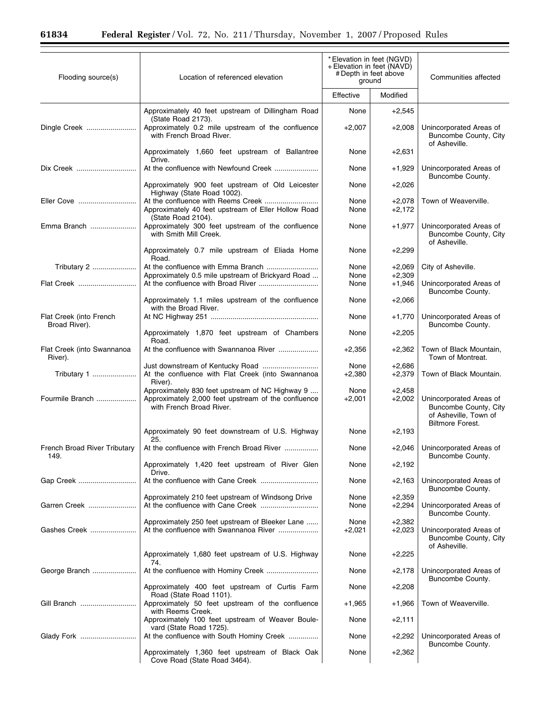| Flooding source(s)                    | Location of referenced elevation                                                                                                   | *Elevation in feet (NGVD)<br>+ Elevation in feet (NAVD)<br># Depth in feet above<br>ground |                      | Communities affected                                                                                 |
|---------------------------------------|------------------------------------------------------------------------------------------------------------------------------------|--------------------------------------------------------------------------------------------|----------------------|------------------------------------------------------------------------------------------------------|
|                                       |                                                                                                                                    | Effective                                                                                  | Modified             |                                                                                                      |
|                                       | Approximately 40 feet upstream of Dillingham Road<br>(State Road 2173).                                                            | None                                                                                       | $+2,545$             |                                                                                                      |
| Dingle Creek                          | Approximately 0.2 mile upstream of the confluence<br>with French Broad River.                                                      | $+2,007$                                                                                   | $+2,008$             | Unincorporated Areas of<br>Buncombe County, City<br>of Asheville.                                    |
|                                       | Approximately 1,660 feet upstream of Ballantree<br>Drive.                                                                          | None                                                                                       | $+2,631$             |                                                                                                      |
| Dix Creek                             |                                                                                                                                    | None                                                                                       | $+1,929$             | Unincorporated Areas of<br>Buncombe County.                                                          |
|                                       | Approximately 900 feet upstream of Old Leicester<br>Highway (State Road 1002).                                                     | None                                                                                       | $+2,026$             |                                                                                                      |
| Eller Cove                            | Approximately 40 feet upstream of Eller Hollow Road<br>(State Road 2104).                                                          | None<br>None                                                                               | $+2,078$<br>$+2,172$ | Town of Weaverville.                                                                                 |
| Emma Branch                           | Approximately 300 feet upstream of the confluence<br>with Smith Mill Creek.                                                        | None                                                                                       | $+1,977$             | Unincorporated Areas of<br>Buncombe County, City<br>of Asheville.                                    |
|                                       | Approximately 0.7 mile upstream of Eliada Home<br>Road.                                                                            | None                                                                                       | $+2,299$             |                                                                                                      |
| Tributary 2<br>Flat Creek             | Approximately 0.5 mile upstream of Brickyard Road                                                                                  | None<br>None                                                                               | $+2,069$<br>$+2,309$ | City of Asheville.                                                                                   |
|                                       | Approximately 1.1 miles upstream of the confluence                                                                                 | None<br>None                                                                               | $+1,946$<br>$+2,066$ | Unincorporated Areas of<br>Buncombe County.                                                          |
| Flat Creek (into French               | with the Broad River.                                                                                                              | None                                                                                       | $+1,770$             | Unincorporated Areas of                                                                              |
| Broad River).                         | Approximately 1,870 feet upstream of Chambers                                                                                      | None                                                                                       | $+2,205$             | Buncombe County.                                                                                     |
| Flat Creek (into Swannanoa<br>River). | Road.<br>At the confluence with Swannanoa River                                                                                    | $+2,356$                                                                                   | $+2,362$             | Town of Black Mountain,<br>Town of Montreat.                                                         |
| Tributary 1                           | At the confluence with Flat Creek (into Swannanoa<br>River).                                                                       | None<br>$+2,380$                                                                           | $+2,686$<br>$+2,379$ | Town of Black Mountain.                                                                              |
| Fourmile Branch                       | Approximately 830 feet upstream of NC Highway 9<br>Approximately 2,000 feet upstream of the confluence<br>with French Broad River. | None<br>$+2,001$                                                                           | $+2,458$<br>$+2,002$ | Unincorporated Areas of<br>Buncombe County, City<br>of Asheville, Town of<br><b>Biltmore Forest.</b> |
|                                       | Approximately 90 feet downstream of U.S. Highway<br>25.                                                                            | None                                                                                       | $+2,193$             |                                                                                                      |
| French Broad River Tributary<br>149.  | At the confluence with French Broad River                                                                                          | None                                                                                       | $+2,046$             | Unincorporated Areas of<br>Buncombe County.                                                          |
|                                       | Approximately 1,420 feet upstream of River Glen<br>Drive.                                                                          | None                                                                                       | $+2,192$             |                                                                                                      |
| Gap Creek                             |                                                                                                                                    | None<br>None                                                                               | +2,163               | Unincorporated Areas of<br>Buncombe County.                                                          |
| Garren Creek                          | Approximately 210 feet upstream of Windsong Drive                                                                                  | None                                                                                       | $+2,359$<br>$+2,294$ | Unincorporated Areas of<br>Buncombe County.                                                          |
| Gashes Creek                          | Approximately 250 feet upstream of Bleeker Lane<br>At the confluence with Swannanoa River                                          | None<br>$+2,021$                                                                           | $+2,382$<br>$+2,023$ | Unincorporated Areas of<br>Buncombe County, City<br>of Asheville.                                    |
|                                       | Approximately 1,680 feet upstream of U.S. Highway<br>74.                                                                           | None                                                                                       | $+2,225$             |                                                                                                      |
| George Branch                         |                                                                                                                                    | None                                                                                       | +2,178               | Unincorporated Areas of<br>Buncombe County.                                                          |
|                                       | Approximately 400 feet upstream of Curtis Farm<br>Road (State Road 1101).                                                          | None                                                                                       | $+2,208$             |                                                                                                      |
| Gill Branch                           | Approximately 50 feet upstream of the confluence<br>with Reems Creek.<br>Approximately 100 feet upstream of Weaver Boule-          | $+1,965$<br>None                                                                           | +1,966<br>$+2,111$   | Town of Weaverville.                                                                                 |
| Glady Fork                            | vard (State Road 1725).<br>At the confluence with South Hominy Creek                                                               | None                                                                                       | $+2,292$             | Unincorporated Areas of                                                                              |
|                                       | Approximately 1,360 feet upstream of Black Oak<br>Cove Road (State Road 3464).                                                     | None                                                                                       | $+2,362$             | Buncombe County.                                                                                     |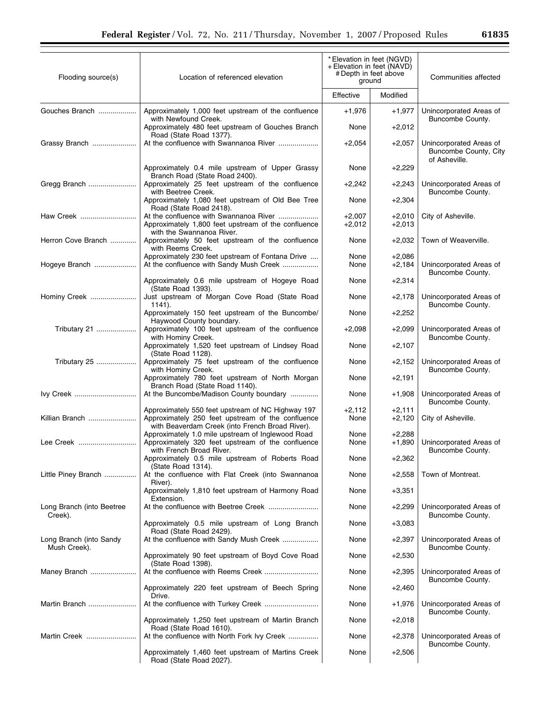| Flooding source(s)                      | *Elevation in feet (NGVD)<br>+ Elevation in feet (NAVD)<br># Depth in feet above<br>Location of referenced elevation<br>ground |                      |                      | Communities affected                             |
|-----------------------------------------|--------------------------------------------------------------------------------------------------------------------------------|----------------------|----------------------|--------------------------------------------------|
|                                         |                                                                                                                                | Effective            | Modified             |                                                  |
| Gouches Branch                          | Approximately 1,000 feet upstream of the confluence<br>with Newfound Creek.                                                    | $+1,976$             | $+1,977$             | Unincorporated Areas of<br>Buncombe County.      |
|                                         | Approximately 480 feet upstream of Gouches Branch<br>Road (State Road 1377).                                                   | None                 | $+2,012$             |                                                  |
| Grassy Branch                           |                                                                                                                                | $+2,054$             | $+2,057$             | Unincorporated Areas of<br>Buncombe County, City |
|                                         | Approximately 0.4 mile upstream of Upper Grassy<br>Branch Road (State Road 2400).                                              | None                 | $+2,229$             | of Asheville.                                    |
| Gregg Branch                            | Approximately 25 feet upstream of the confluence<br>with Beetree Creek.                                                        | $+2,242$             | $+2,243$             | Unincorporated Areas of<br>Buncombe County.      |
|                                         | Approximately 1,080 feet upstream of Old Bee Tree<br>Road (State Road 2418).                                                   | None                 | $+2,304$             |                                                  |
| Haw Creek                               | At the confluence with Swannanoa River<br>Approximately 1,800 feet upstream of the confluence<br>with the Swannanoa River.     | $+2,007$<br>$+2,012$ | $+2,010$<br>$+2,013$ | City of Asheville.                               |
| Herron Cove Branch                      | Approximately 50 feet upstream of the confluence<br>with Reems Creek.                                                          | None                 | $+2,032$             | Town of Weaverville.                             |
| Hogeye Branch                           | Approximately 230 feet upstream of Fontana Drive<br>At the confluence with Sandy Mush Creek                                    | None<br>None         | $+2,086$<br>$+2,184$ | Unincorporated Areas of                          |
|                                         | Approximately 0.6 mile upstream of Hogeye Road<br>(State Road 1393).                                                           | None                 | $+2,314$             | Buncombe County.                                 |
| Hominy Creek                            | Just upstream of Morgan Cove Road (State Road<br>1141).                                                                        | None                 | $+2,178$             | Unincorporated Areas of<br>Buncombe County.      |
|                                         | Approximately 150 feet upstream of the Buncombe/<br>Haywood County boundary.                                                   | None                 | $+2,252$             |                                                  |
| Tributary 21                            | Approximately 100 feet upstream of the confluence<br>with Hominy Creek.                                                        | $+2,098$             | $+2,099$             | Unincorporated Areas of<br>Buncombe County.      |
|                                         | Approximately 1,520 feet upstream of Lindsey Road<br>(State Road 1128).                                                        | None                 | $+2,107$             |                                                  |
| Tributary 25                            | Approximately 75 feet upstream of the confluence<br>with Hominy Creek.                                                         | None                 | $+2,152$             | Unincorporated Areas of<br>Buncombe County.      |
|                                         | Approximately 780 feet upstream of North Morgan<br>Branch Road (State Road 1140).                                              | None                 | $+2,191$             |                                                  |
| Ivy Creek                               | At the Buncombe/Madison County boundary                                                                                        | None                 | $+1,908$             | Unincorporated Areas of<br>Buncombe County.      |
| Killian Branch                          | Approximately 550 feet upstream of NC Highway 197<br>Approximately 250 feet upstream of the confluence                         | $+2,112$<br>None     | $+2,111$<br>$+2,120$ | City of Asheville.                               |
|                                         | with Beaverdam Creek (into French Broad River).<br>Approximately 1.0 mile upstream of Inglewood Road                           | None                 | $+2,288$             |                                                  |
| Lee Creek                               | Approximately 320 feet upstream of the confluence<br>with French Broad River.                                                  | None                 | $+1,890$             | Unincorporated Areas of<br>Buncombe County.      |
|                                         | Approximately 0.5 mile upstream of Roberts Road<br>(State Road 1314).                                                          | None                 | $+2,362$             |                                                  |
| Little Piney Branch                     | At the confluence with Flat Creek (into Swannanoa<br>River).                                                                   | None                 | $+2,558$             | Town of Montreat.                                |
|                                         | Approximately 1,810 feet upstream of Harmony Road<br>Extension.                                                                | None                 | $+3,351$             |                                                  |
| Long Branch (into Beetree<br>Creek).    |                                                                                                                                | None                 | $+2,299$             | Unincorporated Areas of<br>Buncombe County.      |
|                                         | Approximately 0.5 mile upstream of Long Branch<br>Road (State Road 2429).                                                      | None                 | $+3,083$             |                                                  |
| Long Branch (into Sandy<br>Mush Creek). | At the confluence with Sandy Mush Creek                                                                                        | None                 | $+2,397$             | Unincorporated Areas of<br>Buncombe County.      |
|                                         | Approximately 90 feet upstream of Boyd Cove Road<br>(State Road 1398).                                                         | None                 | $+2,530$             |                                                  |
| Maney Branch                            |                                                                                                                                | None                 | $+2,395$             | Unincorporated Areas of<br>Buncombe County.      |
|                                         | Approximately 220 feet upstream of Beech Spring<br>Drive.                                                                      | None                 | $+2,460$             |                                                  |
| Martin Branch                           |                                                                                                                                | None                 | +1,976               | Unincorporated Areas of<br>Buncombe County.      |
|                                         | Approximately 1,250 feet upstream of Martin Branch<br>Road (State Road 1610).                                                  | None                 | $+2,018$             |                                                  |
| Martin Creek                            | At the confluence with North Fork Ivy Creek                                                                                    | None                 | $+2,378$             | Unincorporated Areas of<br>Buncombe County.      |
|                                         | Approximately 1,460 feet upstream of Martins Creek<br>Road (State Road 2027).                                                  | None                 | $+2,506$             |                                                  |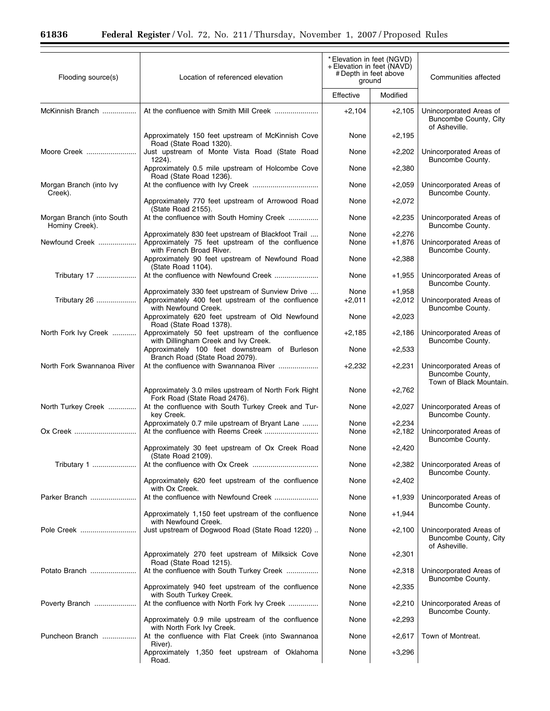$\equiv$ 

| Flooding source(s)                          | Location of referenced elevation                                                                                              | *Elevation in feet (NGVD)<br>+ Elevation in feet (NAVD)<br># Depth in feet above<br>ground |                      | Communities affected                                                   |
|---------------------------------------------|-------------------------------------------------------------------------------------------------------------------------------|--------------------------------------------------------------------------------------------|----------------------|------------------------------------------------------------------------|
|                                             |                                                                                                                               | Effective                                                                                  | Modified             |                                                                        |
| McKinnish Branch                            |                                                                                                                               | $+2,104$                                                                                   | $+2,105$             | Unincorporated Areas of<br>Buncombe County, City<br>of Asheville.      |
|                                             | Approximately 150 feet upstream of McKinnish Cove<br>Road (State Road 1320).                                                  | None                                                                                       | +2,195               |                                                                        |
| Moore Creek                                 | Just upstream of Monte Vista Road (State Road<br>1224).                                                                       | None                                                                                       | +2,202               | Unincorporated Areas of<br>Buncombe County.                            |
|                                             | Approximately 0.5 mile upstream of Holcombe Cove<br>Road (State Road 1236).                                                   | None                                                                                       | $+2,380$             |                                                                        |
| Morgan Branch (into Ivy<br>Creek).          |                                                                                                                               | None                                                                                       | $+2,059$             | Unincorporated Areas of<br>Buncombe County.                            |
|                                             | Approximately 770 feet upstream of Arrowood Road<br>(State Road 2155).                                                        | None                                                                                       | $+2,072$             |                                                                        |
| Morgan Branch (into South<br>Hominy Creek). | At the confluence with South Hominy Creek                                                                                     | None                                                                                       | +2,235               | Unincorporated Areas of<br>Buncombe County.                            |
| Newfound Creek                              | Approximately 830 feet upstream of Blackfoot Trail<br>Approximately 75 feet upstream of the confluence                        | None<br>None                                                                               | +2,276<br>$+1,876$   | Unincorporated Areas of                                                |
|                                             | with French Broad River.<br>Approximately 90 feet upstream of Newfound Road<br>(State Road 1104).                             | None                                                                                       | $+2,388$             | Buncombe County.                                                       |
| Tributary 17                                |                                                                                                                               | None                                                                                       | +1,955               | Unincorporated Areas of<br>Buncombe County.                            |
| Tributary 26                                | Approximately 330 feet upstream of Sunview Drive<br>Approximately 400 feet upstream of the confluence<br>with Newfound Creek. | None<br>$+2,011$                                                                           | $+1,958$<br>+2,012   | Unincorporated Areas of<br>Buncombe County.                            |
|                                             | Approximately 620 feet upstream of Old Newfound<br>Road (State Road 1378).                                                    | None                                                                                       | $+2,023$             |                                                                        |
| North Fork Ivy Creek                        | Approximately 50 feet upstream of the confluence<br>with Dillingham Creek and Ivy Creek.                                      | $+2,185$                                                                                   | +2,186               | Unincorporated Areas of<br>Buncombe County.                            |
|                                             | Approximately 100 feet downstream of Burleson<br>Branch Road (State Road 2079).                                               | None                                                                                       | $+2,533$             |                                                                        |
| North Fork Swannanoa River                  | At the confluence with Swannanoa River                                                                                        | $+2,232$                                                                                   | +2,231               | Unincorporated Areas of<br>Buncombe County,<br>Town of Black Mountain. |
|                                             | Approximately 3.0 miles upstream of North Fork Right<br>Fork Road (State Road 2476).                                          | None                                                                                       | +2,762               |                                                                        |
| North Turkey Creek                          | At the confluence with South Turkey Creek and Tur-<br>key Creek.                                                              | None                                                                                       | $+2,027$             | Unincorporated Areas of<br>Buncombe County.                            |
| Ox Creek                                    | Approximately 0.7 mile upstream of Bryant Lane                                                                                | None<br>None                                                                               | $+2,234$<br>$+2,182$ | Unincorporated Areas of<br>Buncombe County.                            |
|                                             | Approximately 30 feet upstream of Ox Creek Road<br>(State Road 2109).                                                         | None                                                                                       | $+2,420$             |                                                                        |
| Tributary 1                                 |                                                                                                                               | None                                                                                       | +2,382               | Unincorporated Areas of<br>Buncombe County.                            |
|                                             | Approximately 620 feet upstream of the confluence<br>with Ox Creek.                                                           | None                                                                                       | $+2,402$             |                                                                        |
| Parker Branch                               | Approximately 1,150 feet upstream of the confluence                                                                           | None<br>None                                                                               | +1,939<br>+1,944     | Unincorporated Areas of<br>Buncombe County.                            |
| Pole Creek                                  | with Newfound Creek.<br>Just upstream of Dogwood Road (State Road 1220)                                                       | None                                                                                       | +2,100               | Unincorporated Areas of                                                |
|                                             |                                                                                                                               |                                                                                            |                      | Buncombe County, City<br>of Asheville.                                 |
|                                             | Approximately 270 feet upstream of Milksick Cove<br>Road (State Road 1215).                                                   | None                                                                                       | $+2,301$             |                                                                        |
| Potato Branch                               | At the confluence with South Turkey Creek<br>Approximately 940 feet upstream of the confluence                                | None<br>None                                                                               | +2,318<br>$+2,335$   | Unincorporated Areas of<br>Buncombe County.                            |
| Poverty Branch                              | with South Turkey Creek.<br>At the confluence with North Fork Ivy Creek                                                       | None                                                                                       | +2,210               | Unincorporated Areas of                                                |
|                                             | Approximately 0.9 mile upstream of the confluence                                                                             | None                                                                                       | $+2,293$             | Buncombe County.                                                       |
| Puncheon Branch                             | with North Fork Ivy Creek.<br>At the confluence with Flat Creek (into Swannanoa                                               | None                                                                                       | $+2,617$             | Town of Montreat.                                                      |
|                                             | River).<br>Approximately 1,350 feet upstream of Oklahoma<br>Road.                                                             | None                                                                                       | $+3,296$             |                                                                        |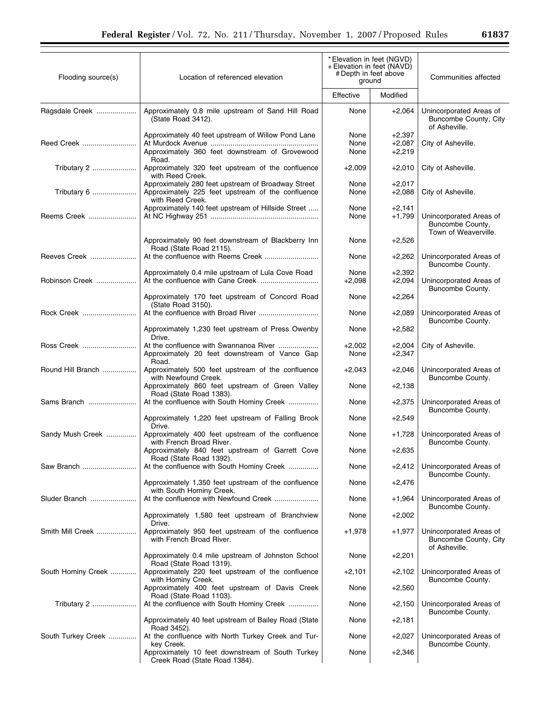| Flooding source(s) | Location of referenced elevation                                                                                                 | * Elevation in feet (NGVD)<br>+ Elevation in feet (NAVD)<br># Depth in feet above<br>ground |                                  | Communities affected                                                |
|--------------------|----------------------------------------------------------------------------------------------------------------------------------|---------------------------------------------------------------------------------------------|----------------------------------|---------------------------------------------------------------------|
|                    |                                                                                                                                  | Effective                                                                                   | Modified                         |                                                                     |
| Ragsdale Creek     | Approximately 0.8 mile upstream of Sand Hill Road<br>(State Road 3412).                                                          | None                                                                                        | $+2,064$                         | Unincorporated Areas of<br>Buncombe County, City<br>of Asheville.   |
| Reed Creek         | Approximately 40 feet upstream of Willow Pond Lane<br>Approximately 360 feet downstream of Grovewood<br>Road.                    | None<br>None<br>None                                                                        | $+2,397$<br>$+2,087$<br>$+2,219$ | City of Asheville.                                                  |
| Tributary 2        | Approximately 320 feet upstream of the confluence<br>with Reed Creek.                                                            | $+2,009$                                                                                    | $+2,010$                         | City of Asheville.                                                  |
| Tributary 6        | Approximately 280 feet upstream of Broadway Street<br>Approximately 225 feet upstream of the confluence<br>with Reed Creek.      | None<br>None                                                                                | $+2,017$<br>$+2,088$             | City of Asheville.                                                  |
| Reems Creek        | Approximately 140 feet upstream of Hillside Street                                                                               | None<br>None                                                                                | $+2,141$<br>$+1,799$             | Unincorporated Areas of<br>Buncombe County,<br>Town of Weaverville. |
|                    | Approximately 90 feet downstream of Blackberry Inn<br>Road (State Road 2115).                                                    | None                                                                                        | $+2,526$                         |                                                                     |
| Reeves Creek       |                                                                                                                                  | None                                                                                        | $+2,262$                         | Unincorporated Areas of<br>Buncombe County.                         |
| Robinson Creek     | Approximately 0.4 mile upstream of Lula Cove Road                                                                                | None<br>$+2,098$                                                                            | $+2,392$<br>$+2,094$             | Unincorporated Areas of<br>Buncombe County.                         |
|                    | Approximately 170 feet upstream of Concord Road<br>(State Road 3150).                                                            | None                                                                                        | $+2,264$                         |                                                                     |
| Rock Creek         |                                                                                                                                  | None                                                                                        | $+2,089$                         | Unincorporated Areas of<br>Buncombe County.                         |
|                    | Approximately 1,230 feet upstream of Press Owenby<br>Drive.                                                                      | None                                                                                        | $+2,582$                         |                                                                     |
| Ross Creek         | Approximately 20 feet downstream of Vance Gap<br>Road.                                                                           | $+2,002$<br>None                                                                            | $+2,004$<br>$+2,347$             | City of Asheville.                                                  |
| Round Hill Branch  | Approximately 500 feet upstream of the confluence<br>with Newfound Creek.                                                        | $+2,043$                                                                                    | $+2,046$                         | Unincorporated Areas of<br>Buncombe County.                         |
|                    | Approximately 860 feet upstream of Green Valley<br>Road (State Road 1383).                                                       | None                                                                                        | $+2,138$                         |                                                                     |
| Sams Branch        | At the confluence with South Hominy Creek                                                                                        | None                                                                                        | $+2,375$                         | Unincorporated Areas of<br>Buncombe County.                         |
|                    | Approximately 1,220 feet upstream of Falling Brook<br>Drive.                                                                     | None                                                                                        | $+2,549$                         |                                                                     |
| Sandy Mush Creek   | Approximately 400 feet upstream of the confluence<br>with French Broad River.<br>Approximately 840 feet upstream of Garrett Cove | None<br>None                                                                                | $+1,728$<br>$+2,635$             | Unincorporated Areas of<br>Buncombe County.                         |
| Saw Branch         | Road (State Road 1392).<br>At the confluence with South Hominy Creek                                                             | None                                                                                        | $+2,412$                         | Unincorporated Areas of                                             |
|                    | Approximately 1,350 feet upstream of the confluence                                                                              | None                                                                                        | $+2,476$                         | Buncombe County.                                                    |
| Sluder Branch      | with South Hominy Creek.                                                                                                         | None                                                                                        | +1,964                           | Unincorporated Areas of                                             |
|                    | Approximately 1,580 feet upstream of Branchview                                                                                  | None                                                                                        | $+2,002$                         | Buncombe County.                                                    |
| Smith Mill Creek   | Drive.<br>Approximately 950 feet upstream of the confluence<br>with French Broad River.                                          | $+1,978$                                                                                    | $+1,977$                         | Unincorporated Areas of<br>Buncombe County, City                    |
|                    | Approximately 0.4 mile upstream of Johnston School                                                                               | None                                                                                        | $+2,201$                         | of Asheville.                                                       |
| South Hominy Creek | Road (State Road 1319).<br>Approximately 220 feet upstream of the confluence                                                     | $+2,101$                                                                                    | $+2,102$                         | Unincorporated Areas of                                             |
|                    | with Hominy Creek.<br>Approximately 400 feet upstream of Davis Creek                                                             | None                                                                                        | $+2,560$                         | Buncombe County.                                                    |
| Tributary 2        | Road (State Road 1103).<br>At the confluence with South Hominy Creek                                                             | None                                                                                        | $+2,150$                         | Unincorporated Areas of<br>Buncombe County.                         |
|                    | Approximately 40 feet upstream of Bailey Road (State<br>Road 3452).                                                              | None                                                                                        | +2,181                           |                                                                     |
| South Turkey Creek | At the confluence with North Turkey Creek and Tur-<br>key Creek.                                                                 | None                                                                                        | $+2,027$                         | Unincorporated Areas of<br>Buncombe County.                         |
|                    | Approximately 10 feet downstream of South Turkey<br>Creek Road (State Road 1384).                                                | None                                                                                        | $+2,346$                         |                                                                     |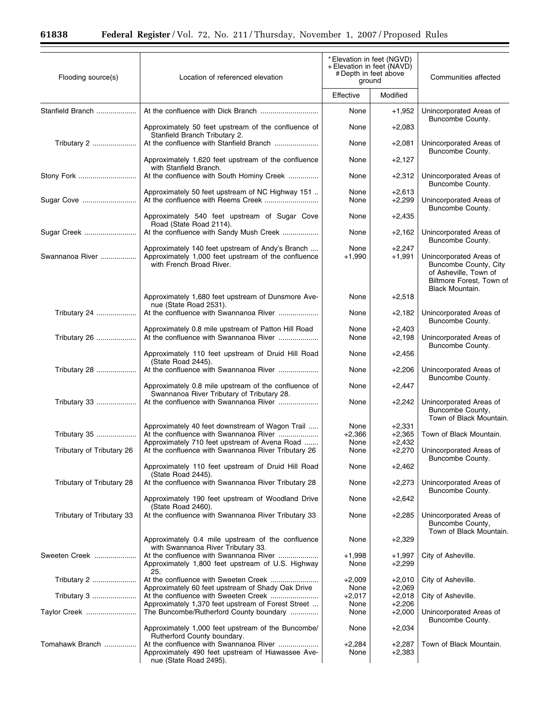| Flooding source(s)        | * Elevation in feet (NGVD)<br>+ Elevation in feet (NAVD)<br># Depth in feet above<br>Location of referenced elevation<br>ground            |                          | Communities affected             |                                                                                                                          |
|---------------------------|--------------------------------------------------------------------------------------------------------------------------------------------|--------------------------|----------------------------------|--------------------------------------------------------------------------------------------------------------------------|
|                           |                                                                                                                                            | Effective                | Modified                         |                                                                                                                          |
| Stanfield Branch          |                                                                                                                                            | None                     | $+1,952$                         | Unincorporated Areas of<br>Buncombe County.                                                                              |
|                           | Approximately 50 feet upstream of the confluence of<br>Stanfield Branch Tributary 2.                                                       | None                     | $+2,083$                         |                                                                                                                          |
| Tributary 2               |                                                                                                                                            | None                     | $+2,081$                         | Unincorporated Areas of<br>Buncombe County.                                                                              |
|                           | Approximately 1,620 feet upstream of the confluence<br>with Stanfield Branch.                                                              | None                     | $+2,127$                         |                                                                                                                          |
| Stony Fork                | At the confluence with South Hominy Creek<br>Approximately 50 feet upstream of NC Highway 151                                              | None<br>None             | $+2,312$<br>$+2,613$             | Unincorporated Areas of<br>Buncombe County.                                                                              |
| Sugar Cove                |                                                                                                                                            | None                     | $+2,299$                         | Unincorporated Areas of<br>Buncombe County.                                                                              |
|                           | Approximately 540 feet upstream of Sugar Cove<br>Road (State Road 2114).                                                                   | None                     | $+2,435$                         |                                                                                                                          |
| Sugar Creek               | At the confluence with Sandy Mush Creek                                                                                                    | None                     | $+2,162$                         | Unincorporated Areas of<br>Buncombe County.                                                                              |
| Swannanoa River           | Approximately 140 feet upstream of Andy's Branch<br>Approximately 1,000 feet upstream of the confluence<br>with French Broad River.        | None<br>$+1,990$         | $+2,247$<br>$+1,991$             | Unincorporated Areas of<br>Buncombe County, City<br>of Asheville, Town of<br>Biltmore Forest, Town of<br>Black Mountain. |
|                           | Approximately 1,680 feet upstream of Dunsmore Ave-<br>nue (State Road 2531).                                                               | None                     | $+2,518$                         |                                                                                                                          |
| Tributary 24              | At the confluence with Swannanoa River                                                                                                     | None                     | $+2,182$                         | Unincorporated Areas of<br>Buncombe County.                                                                              |
| Tributary 26              | Approximately 0.8 mile upstream of Patton Hill Road                                                                                        | None<br>None             | $+2,403$<br>$+2,198$             | Unincorporated Areas of<br>Buncombe County.                                                                              |
|                           | Approximately 110 feet upstream of Druid Hill Road<br>(State Road 2445).                                                                   | None                     | $+2,456$                         |                                                                                                                          |
| Tributary 28              | At the confluence with Swannanoa River                                                                                                     | None                     | $+2,206$                         | Unincorporated Areas of<br>Buncombe County.                                                                              |
|                           | Approximately 0.8 mile upstream of the confluence of<br>Swannanoa River Tributary of Tributary 28.                                         | None                     | $+2,447$                         |                                                                                                                          |
| Tributary 33              | At the confluence with Swannanoa River                                                                                                     | None                     | $+2,242$                         | Unincorporated Areas of<br>Buncombe County,<br>Town of Black Mountain.                                                   |
| Tributary 35              | Approximately 40 feet downstream of Wagon Trail<br>At the confluence with Swannanoa River<br>Approximately 710 feet upstream of Avena Road | None<br>$+2,366$<br>None | $+2,331$<br>$+2,365$<br>$+2,432$ | Town of Black Mountain.                                                                                                  |
| Tributary of Tributary 26 | At the confluence with Swannanoa River Tributary 26                                                                                        | None                     | $+2,270$                         | Unincorporated Areas of<br>Buncombe County.                                                                              |
|                           | Approximately 110 feet upstream of Druid Hill Road<br>(State Road 2445).                                                                   | None                     | $+2,462$                         |                                                                                                                          |
| Tributary of Tributary 28 | At the confluence with Swannanoa River Tributary 28                                                                                        | None                     | +2,273                           | Unincorporated Areas of<br>Buncombe County.                                                                              |
|                           | Approximately 190 feet upstream of Woodland Drive<br>(State Road 2460).                                                                    | None                     | $+2,642$                         |                                                                                                                          |
| Tributary of Tributary 33 | At the confluence with Swannanoa River Tributary 33                                                                                        | None                     | $+2,285$                         | Unincorporated Areas of<br>Buncombe County,<br>Town of Black Mountain.                                                   |
|                           | Approximately 0.4 mile upstream of the confluence<br>with Swannanoa River Tributary 33.                                                    | None                     | $+2,329$                         |                                                                                                                          |
| Sweeten Creek             | At the confluence with Swannanoa River<br>Approximately 1,800 feet upstream of U.S. Highway<br>25.                                         | $+1,998$<br>None         | $+1,997$<br>$+2,299$             | City of Asheville.                                                                                                       |
| Tributary 2               | Approximately 60 feet upstream of Shady Oak Drive                                                                                          | $+2,009$<br>None         | $+2,010$<br>$+2,069$             | City of Asheville.                                                                                                       |
| Tributary 3               |                                                                                                                                            | $+2,017$<br>None         | $+2,018$                         | City of Asheville.                                                                                                       |
| Taylor Creek              | Approximately 1,370 feet upstream of Forest Street<br>The Buncombe/Rutherford County boundary                                              | None                     | $+2,206$<br>$+2,000$             | Unincorporated Areas of<br>Buncombe County.                                                                              |
|                           | Approximately 1,000 feet upstream of the Buncombe/<br>Rutherford County boundary.                                                          | None                     | $+2,034$                         |                                                                                                                          |
| Tomahawk Branch           | Approximately 490 feet upstream of Hiawassee Ave-<br>nue (State Road 2495).                                                                | $+2,284$<br>None         | +2,287<br>$+2,383$               | Town of Black Mountain.                                                                                                  |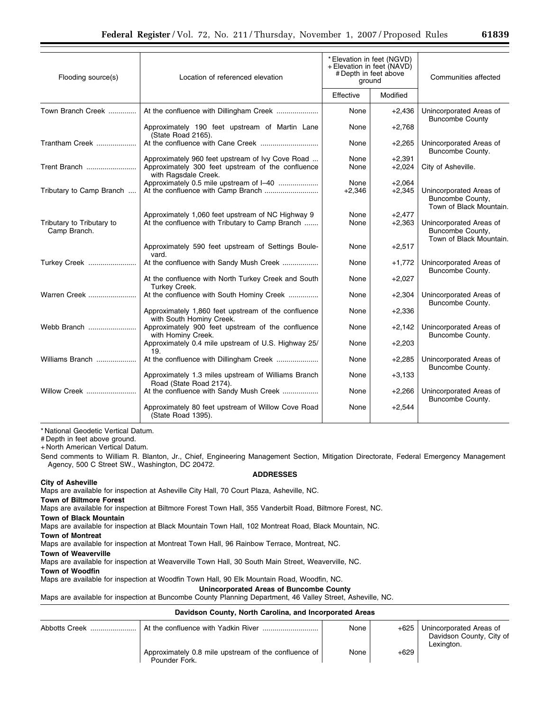| Flooding source(s)                        | Location of referenced elevation                                                                                              | * Elevation in feet (NGVD)<br>+ Elevation in feet (NAVD)<br># Depth in feet above<br>ground |                      | Communities affected                                                   |  |
|-------------------------------------------|-------------------------------------------------------------------------------------------------------------------------------|---------------------------------------------------------------------------------------------|----------------------|------------------------------------------------------------------------|--|
|                                           |                                                                                                                               | Effective                                                                                   | Modified             |                                                                        |  |
| Town Branch Creek                         | At the confluence with Dillingham Creek                                                                                       | None                                                                                        | $+2,436$             | Unincorporated Areas of<br><b>Buncombe County</b>                      |  |
|                                           | Approximately 190 feet upstream of Martin Lane<br>(State Road 2165).                                                          | None                                                                                        | $+2,768$             |                                                                        |  |
| Trantham Creek                            |                                                                                                                               | None                                                                                        | $+2,265$             | Unincorporated Areas of<br>Buncombe County.                            |  |
| Trent Branch                              | Approximately 960 feet upstream of Ivy Cove Road<br>Approximately 300 feet upstream of the confluence<br>with Ragsdale Creek. | None<br>None                                                                                | $+2,391$<br>$+2,024$ | City of Asheville.                                                     |  |
| Tributary to Camp Branch                  | Approximately 0.5 mile upstream of I-40                                                                                       | None<br>$+2,346$                                                                            | $+2,064$<br>$+2,345$ | Unincorporated Areas of<br>Buncombe County,<br>Town of Black Mountain. |  |
| Tributary to Tributary to<br>Camp Branch. | Approximately 1,060 feet upstream of NC Highway 9<br>At the confluence with Tributary to Camp Branch                          | None<br>None                                                                                | $+2,477$<br>$+2,363$ | Unincorporated Areas of<br>Buncombe County,<br>Town of Black Mountain. |  |
|                                           | Approximately 590 feet upstream of Settings Boule-<br>vard.                                                                   | None                                                                                        | $+2,517$             |                                                                        |  |
| Turkey Creek                              | At the confluence with Sandy Mush Creek                                                                                       | None                                                                                        | $+1,772$             | Unincorporated Areas of<br>Buncombe County.                            |  |
|                                           | At the confluence with North Turkey Creek and South<br>Turkey Creek.                                                          | None                                                                                        | $+2,027$             |                                                                        |  |
| Warren Creek                              | At the confluence with South Hominy Creek                                                                                     | None                                                                                        | $+2,304$             | Unincorporated Areas of<br>Buncombe County.                            |  |
|                                           | Approximately 1,860 feet upstream of the confluence<br>with South Hominy Creek.                                               | None                                                                                        | $+2,336$             |                                                                        |  |
| Webb Branch                               | Approximately 900 feet upstream of the confluence<br>with Hominy Creek.                                                       | None                                                                                        | $+2,142$             | Unincorporated Areas of<br>Buncombe County.                            |  |
|                                           | Approximately 0.4 mile upstream of U.S. Highway 25/<br>19.                                                                    | None                                                                                        | $+2,203$             |                                                                        |  |
| Williams Branch                           |                                                                                                                               | None                                                                                        | $+2,285$             | Unincorporated Areas of<br>Buncombe County.                            |  |
|                                           | Approximately 1.3 miles upstream of Williams Branch<br>Road (State Road 2174).                                                | None                                                                                        | $+3,133$             |                                                                        |  |
| Willow Creek                              | At the confluence with Sandy Mush Creek                                                                                       | None                                                                                        | $+2,266$             | Unincorporated Areas of<br>Buncombe County.                            |  |
|                                           | Approximately 80 feet upstream of Willow Cove Road<br>(State Road 1395).                                                      | None                                                                                        | $+2,544$             |                                                                        |  |

# Depth in feet above ground.

+ North American Vertical Datum.

Send comments to William R. Blanton, Jr., Chief, Engineering Management Section, Mitigation Directorate, Federal Emergency Management Agency, 500 C Street SW., Washington, DC 20472.

# **City of Asheville**

### **ADDRESSES**

Maps are available for inspection at Asheville City Hall, 70 Court Plaza, Asheville, NC.

**Town of Biltmore Forest** 

Maps are available for inspection at Biltmore Forest Town Hall, 355 Vanderbilt Road, Biltmore Forest, NC.

**Town of Black Mountain** 

Maps are available for inspection at Black Mountain Town Hall, 102 Montreat Road, Black Mountain, NC.

**Town of Montreat** 

Maps are available for inspection at Montreat Town Hall, 96 Rainbow Terrace, Montreat, NC.

**Town of Weaverville** 

Maps are available for inspection at Weaverville Town Hall, 30 South Main Street, Weaverville, NC.

**Town of Woodfin** 

Maps are available for inspection at Woodfin Town Hall, 90 Elk Mountain Road, Woodfin, NC.

**Unincorporated Areas of Buncombe County** 

Maps are available for inspection at Buncombe County Planning Department, 46 Valley Street, Asheville, NC.

# **Davidson County, North Carolina, and Incorporated Areas**

|                                                                       | None | $+625$ | Unincorporated Areas of<br>Davidson County, City of<br>Lexington. |
|-----------------------------------------------------------------------|------|--------|-------------------------------------------------------------------|
| Approximately 0.8 mile upstream of the confluence of<br>Pounder Fork. | None | $+629$ |                                                                   |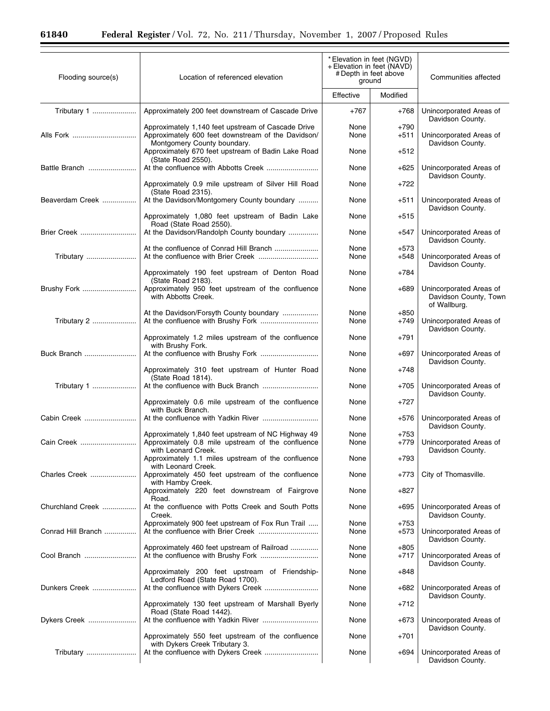$\equiv$ 

| Modified<br>Effective<br>Tributary 1<br>Approximately 200 feet downstream of Cascade Drive<br>Unincorporated Areas of<br>$+767$<br>$+768$<br>Davidson County.<br>$+790$<br>Approximately 1,140 feet upstream of Cascade Drive<br>None<br>Alls Fork<br>Approximately 600 feet downstream of the Davidson/<br>Unincorporated Areas of<br>None<br>+511<br>Montgomery County boundary.<br>Davidson County.<br>Approximately 670 feet upstream of Badin Lake Road<br>$+512$<br>None<br>(State Road 2550).<br>Unincorporated Areas of<br>Battle Branch<br>None<br>$+625$<br>Davidson County.<br>Approximately 0.9 mile upstream of Silver Hill Road<br>$+722$<br>None<br>(State Road 2315).<br>At the Davidson/Montgomery County boundary<br>Unincorporated Areas of<br>Beaverdam Creek<br>None<br>$+511$<br>Davidson County.<br>Approximately 1,080 feet upstream of Badin Lake<br>$+515$<br>None<br>Road (State Road 2550).<br><b>Brier Creek</b><br>At the Davidson/Randolph County boundary<br>Unincorporated Areas of<br>None<br>$+547$<br>Davidson County.<br>At the confluence of Conrad Hill Branch<br>$+573$<br>None<br>None<br>Unincorporated Areas of<br>Tributary<br>$+548$<br>Davidson County.<br>Approximately 190 feet upstream of Denton Road<br>None<br>+784<br>(State Road 2183).<br>Approximately 950 feet upstream of the confluence<br>Brushy Fork<br>None<br>$+689$<br>Unincorporated Areas of<br>with Abbotts Creek.<br>Davidson County, Town<br>of Wallburg.<br>At the Davidson/Forsyth County boundary<br>None<br>$+850$<br>Tributary 2<br>Unincorporated Areas of<br>None<br>$+749$<br>Davidson County.<br>Approximately 1.2 miles upstream of the confluence<br>None<br>$+791$<br>with Brushy Fork.<br>Buck Branch<br>Unincorporated Areas of<br>None<br>$+697$<br>Davidson County.<br>Approximately 310 feet upstream of Hunter Road<br>None<br>$+748$<br>(State Road 1814).<br>Tributary 1<br>Unincorporated Areas of<br>None<br>$+705$<br>Davidson County.<br>None | Communities affected |  |
|--------------------------------------------------------------------------------------------------------------------------------------------------------------------------------------------------------------------------------------------------------------------------------------------------------------------------------------------------------------------------------------------------------------------------------------------------------------------------------------------------------------------------------------------------------------------------------------------------------------------------------------------------------------------------------------------------------------------------------------------------------------------------------------------------------------------------------------------------------------------------------------------------------------------------------------------------------------------------------------------------------------------------------------------------------------------------------------------------------------------------------------------------------------------------------------------------------------------------------------------------------------------------------------------------------------------------------------------------------------------------------------------------------------------------------------------------------------------------------------------------------------------------------------------------------------------------------------------------------------------------------------------------------------------------------------------------------------------------------------------------------------------------------------------------------------------------------------------------------------------------------------------------------------------------------------------------------------------------------------------|----------------------|--|
|                                                                                                                                                                                                                                                                                                                                                                                                                                                                                                                                                                                                                                                                                                                                                                                                                                                                                                                                                                                                                                                                                                                                                                                                                                                                                                                                                                                                                                                                                                                                                                                                                                                                                                                                                                                                                                                                                                                                                                                            |                      |  |
|                                                                                                                                                                                                                                                                                                                                                                                                                                                                                                                                                                                                                                                                                                                                                                                                                                                                                                                                                                                                                                                                                                                                                                                                                                                                                                                                                                                                                                                                                                                                                                                                                                                                                                                                                                                                                                                                                                                                                                                            |                      |  |
|                                                                                                                                                                                                                                                                                                                                                                                                                                                                                                                                                                                                                                                                                                                                                                                                                                                                                                                                                                                                                                                                                                                                                                                                                                                                                                                                                                                                                                                                                                                                                                                                                                                                                                                                                                                                                                                                                                                                                                                            |                      |  |
|                                                                                                                                                                                                                                                                                                                                                                                                                                                                                                                                                                                                                                                                                                                                                                                                                                                                                                                                                                                                                                                                                                                                                                                                                                                                                                                                                                                                                                                                                                                                                                                                                                                                                                                                                                                                                                                                                                                                                                                            |                      |  |
|                                                                                                                                                                                                                                                                                                                                                                                                                                                                                                                                                                                                                                                                                                                                                                                                                                                                                                                                                                                                                                                                                                                                                                                                                                                                                                                                                                                                                                                                                                                                                                                                                                                                                                                                                                                                                                                                                                                                                                                            |                      |  |
|                                                                                                                                                                                                                                                                                                                                                                                                                                                                                                                                                                                                                                                                                                                                                                                                                                                                                                                                                                                                                                                                                                                                                                                                                                                                                                                                                                                                                                                                                                                                                                                                                                                                                                                                                                                                                                                                                                                                                                                            |                      |  |
|                                                                                                                                                                                                                                                                                                                                                                                                                                                                                                                                                                                                                                                                                                                                                                                                                                                                                                                                                                                                                                                                                                                                                                                                                                                                                                                                                                                                                                                                                                                                                                                                                                                                                                                                                                                                                                                                                                                                                                                            |                      |  |
|                                                                                                                                                                                                                                                                                                                                                                                                                                                                                                                                                                                                                                                                                                                                                                                                                                                                                                                                                                                                                                                                                                                                                                                                                                                                                                                                                                                                                                                                                                                                                                                                                                                                                                                                                                                                                                                                                                                                                                                            |                      |  |
|                                                                                                                                                                                                                                                                                                                                                                                                                                                                                                                                                                                                                                                                                                                                                                                                                                                                                                                                                                                                                                                                                                                                                                                                                                                                                                                                                                                                                                                                                                                                                                                                                                                                                                                                                                                                                                                                                                                                                                                            |                      |  |
|                                                                                                                                                                                                                                                                                                                                                                                                                                                                                                                                                                                                                                                                                                                                                                                                                                                                                                                                                                                                                                                                                                                                                                                                                                                                                                                                                                                                                                                                                                                                                                                                                                                                                                                                                                                                                                                                                                                                                                                            |                      |  |
|                                                                                                                                                                                                                                                                                                                                                                                                                                                                                                                                                                                                                                                                                                                                                                                                                                                                                                                                                                                                                                                                                                                                                                                                                                                                                                                                                                                                                                                                                                                                                                                                                                                                                                                                                                                                                                                                                                                                                                                            |                      |  |
|                                                                                                                                                                                                                                                                                                                                                                                                                                                                                                                                                                                                                                                                                                                                                                                                                                                                                                                                                                                                                                                                                                                                                                                                                                                                                                                                                                                                                                                                                                                                                                                                                                                                                                                                                                                                                                                                                                                                                                                            |                      |  |
|                                                                                                                                                                                                                                                                                                                                                                                                                                                                                                                                                                                                                                                                                                                                                                                                                                                                                                                                                                                                                                                                                                                                                                                                                                                                                                                                                                                                                                                                                                                                                                                                                                                                                                                                                                                                                                                                                                                                                                                            |                      |  |
|                                                                                                                                                                                                                                                                                                                                                                                                                                                                                                                                                                                                                                                                                                                                                                                                                                                                                                                                                                                                                                                                                                                                                                                                                                                                                                                                                                                                                                                                                                                                                                                                                                                                                                                                                                                                                                                                                                                                                                                            |                      |  |
|                                                                                                                                                                                                                                                                                                                                                                                                                                                                                                                                                                                                                                                                                                                                                                                                                                                                                                                                                                                                                                                                                                                                                                                                                                                                                                                                                                                                                                                                                                                                                                                                                                                                                                                                                                                                                                                                                                                                                                                            |                      |  |
|                                                                                                                                                                                                                                                                                                                                                                                                                                                                                                                                                                                                                                                                                                                                                                                                                                                                                                                                                                                                                                                                                                                                                                                                                                                                                                                                                                                                                                                                                                                                                                                                                                                                                                                                                                                                                                                                                                                                                                                            |                      |  |
| Approximately 0.6 mile upstream of the confluence<br>$+727$<br>with Buck Branch.<br>Cabin Creek<br>Unincorporated Areas of<br>None<br>$+576$                                                                                                                                                                                                                                                                                                                                                                                                                                                                                                                                                                                                                                                                                                                                                                                                                                                                                                                                                                                                                                                                                                                                                                                                                                                                                                                                                                                                                                                                                                                                                                                                                                                                                                                                                                                                                                               |                      |  |
| Davidson County.<br>Approximately 1,840 feet upstream of NC Highway 49<br>None<br>$+753$                                                                                                                                                                                                                                                                                                                                                                                                                                                                                                                                                                                                                                                                                                                                                                                                                                                                                                                                                                                                                                                                                                                                                                                                                                                                                                                                                                                                                                                                                                                                                                                                                                                                                                                                                                                                                                                                                                   |                      |  |
| Approximately 0.8 mile upstream of the confluence<br>Unincorporated Areas of<br>Cain Creek<br>None<br>$+779$<br>with Leonard Creek.<br>Davidson County.                                                                                                                                                                                                                                                                                                                                                                                                                                                                                                                                                                                                                                                                                                                                                                                                                                                                                                                                                                                                                                                                                                                                                                                                                                                                                                                                                                                                                                                                                                                                                                                                                                                                                                                                                                                                                                    |                      |  |
| Approximately 1.1 miles upstream of the confluence<br>None<br>$+793$<br>with Leonard Creek.<br>None                                                                                                                                                                                                                                                                                                                                                                                                                                                                                                                                                                                                                                                                                                                                                                                                                                                                                                                                                                                                                                                                                                                                                                                                                                                                                                                                                                                                                                                                                                                                                                                                                                                                                                                                                                                                                                                                                        |                      |  |
| Approximately 450 feet upstream of the confluence<br>Charles Creek<br>$+773$<br>City of Thomasville.<br>with Hamby Creek.<br>Approximately 220 feet downstream of Fairgrove<br>None<br>$+827$                                                                                                                                                                                                                                                                                                                                                                                                                                                                                                                                                                                                                                                                                                                                                                                                                                                                                                                                                                                                                                                                                                                                                                                                                                                                                                                                                                                                                                                                                                                                                                                                                                                                                                                                                                                              |                      |  |
| Road.<br>At the confluence with Potts Creek and South Potts<br>Churchland Creek<br>None<br>$+695$<br>Unincorporated Areas of                                                                                                                                                                                                                                                                                                                                                                                                                                                                                                                                                                                                                                                                                                                                                                                                                                                                                                                                                                                                                                                                                                                                                                                                                                                                                                                                                                                                                                                                                                                                                                                                                                                                                                                                                                                                                                                               |                      |  |
| Creek.<br>Davidson County.<br>Approximately 900 feet upstream of Fox Run Trail<br>None<br>$+753$                                                                                                                                                                                                                                                                                                                                                                                                                                                                                                                                                                                                                                                                                                                                                                                                                                                                                                                                                                                                                                                                                                                                                                                                                                                                                                                                                                                                                                                                                                                                                                                                                                                                                                                                                                                                                                                                                           |                      |  |
| Conrad Hill Branch<br>None<br>$+573$<br>Unincorporated Areas of<br>Davidson County.                                                                                                                                                                                                                                                                                                                                                                                                                                                                                                                                                                                                                                                                                                                                                                                                                                                                                                                                                                                                                                                                                                                                                                                                                                                                                                                                                                                                                                                                                                                                                                                                                                                                                                                                                                                                                                                                                                        |                      |  |
| Approximately 460 feet upstream of Railroad<br>None<br>$+805$<br>Cool Branch<br>$+717$<br>Unincorporated Areas of<br>None<br>Davidson County.                                                                                                                                                                                                                                                                                                                                                                                                                                                                                                                                                                                                                                                                                                                                                                                                                                                                                                                                                                                                                                                                                                                                                                                                                                                                                                                                                                                                                                                                                                                                                                                                                                                                                                                                                                                                                                              |                      |  |
| Approximately 200 feet upstream of Friendship-<br>None<br>$+848$<br>Ledford Road (State Road 1700).                                                                                                                                                                                                                                                                                                                                                                                                                                                                                                                                                                                                                                                                                                                                                                                                                                                                                                                                                                                                                                                                                                                                                                                                                                                                                                                                                                                                                                                                                                                                                                                                                                                                                                                                                                                                                                                                                        |                      |  |
| Unincorporated Areas of<br>Dunkers Creek<br>None<br>$+682$<br>Davidson County.                                                                                                                                                                                                                                                                                                                                                                                                                                                                                                                                                                                                                                                                                                                                                                                                                                                                                                                                                                                                                                                                                                                                                                                                                                                                                                                                                                                                                                                                                                                                                                                                                                                                                                                                                                                                                                                                                                             |                      |  |
| Approximately 130 feet upstream of Marshall Byerly<br>None<br>$+712$<br>Road (State Road 1442).                                                                                                                                                                                                                                                                                                                                                                                                                                                                                                                                                                                                                                                                                                                                                                                                                                                                                                                                                                                                                                                                                                                                                                                                                                                                                                                                                                                                                                                                                                                                                                                                                                                                                                                                                                                                                                                                                            |                      |  |
| Unincorporated Areas of<br>Dykers Creek<br>None<br>$+673$<br>Davidson County.                                                                                                                                                                                                                                                                                                                                                                                                                                                                                                                                                                                                                                                                                                                                                                                                                                                                                                                                                                                                                                                                                                                                                                                                                                                                                                                                                                                                                                                                                                                                                                                                                                                                                                                                                                                                                                                                                                              |                      |  |
| Approximately 550 feet upstream of the confluence<br>None<br>+701<br>with Dykers Creek Tributary 3.<br>Unincorporated Areas of<br>None<br>$+694$<br>Tributary<br>Davidson County.                                                                                                                                                                                                                                                                                                                                                                                                                                                                                                                                                                                                                                                                                                                                                                                                                                                                                                                                                                                                                                                                                                                                                                                                                                                                                                                                                                                                                                                                                                                                                                                                                                                                                                                                                                                                          |                      |  |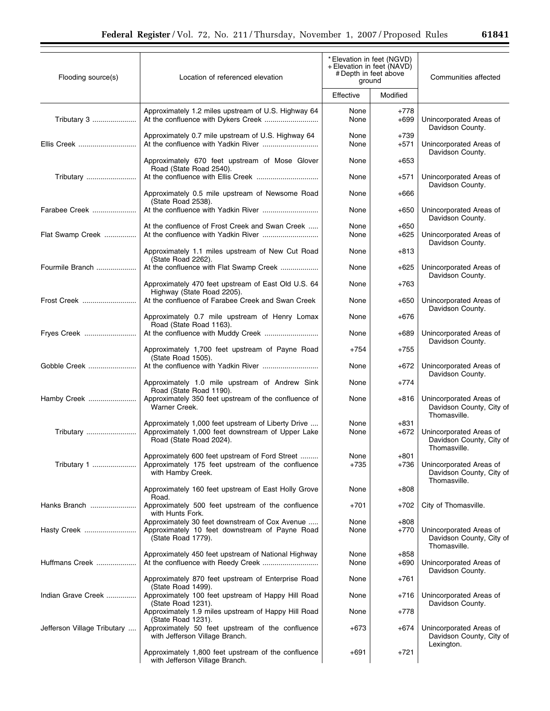| Flooding source(s)          | Location of referenced elevation                                                                                                   | * Elevation in feet (NGVD)<br>+ Elevation in feet (NAVD)<br># Depth in feet above<br>ground |                  | Communities affected                                                |  |
|-----------------------------|------------------------------------------------------------------------------------------------------------------------------------|---------------------------------------------------------------------------------------------|------------------|---------------------------------------------------------------------|--|
|                             |                                                                                                                                    | Effective                                                                                   | Modified         |                                                                     |  |
| Tributary 3                 | Approximately 1.2 miles upstream of U.S. Highway 64<br>At the confluence with Dykers Creek                                         | None<br>None                                                                                | $+778$<br>$+699$ | Unincorporated Areas of<br>Davidson County.                         |  |
| Ellis Creek                 | Approximately 0.7 mile upstream of U.S. Highway 64                                                                                 | None<br>None                                                                                | $+739$<br>$+571$ | Unincorporated Areas of<br>Davidson County.                         |  |
|                             | Approximately 670 feet upstream of Mose Glover<br>Road (State Road 2540).                                                          | None                                                                                        | +653             |                                                                     |  |
| Tributary                   | Approximately 0.5 mile upstream of Newsome Road                                                                                    | None<br>None                                                                                | +571<br>+666     | Unincorporated Areas of<br>Davidson County.                         |  |
| Farabee Creek               | (State Road 2538).                                                                                                                 | None                                                                                        | $+650$           | Unincorporated Areas of                                             |  |
| Flat Swamp Creek            | At the confluence of Frost Creek and Swan Creek                                                                                    | None<br>None                                                                                | $+650$<br>$+625$ | Davidson County.<br>Unincorporated Areas of                         |  |
|                             | Approximately 1.1 miles upstream of New Cut Road                                                                                   | None                                                                                        | +813             | Davidson County.                                                    |  |
| Fourmile Branch             | (State Road 2262).<br>At the confluence with Flat Swamp Creek                                                                      | None                                                                                        | +625             | Unincorporated Areas of<br>Davidson County.                         |  |
|                             | Approximately 470 feet upstream of East Old U.S. 64<br>Highway (State Road 2205).                                                  | None                                                                                        | +763             |                                                                     |  |
| Frost Creek                 | At the confluence of Farabee Creek and Swan Creek                                                                                  | None                                                                                        | +650             | Unincorporated Areas of<br>Davidson County.                         |  |
| Fryes Creek                 | Approximately 0.7 mile upstream of Henry Lomax<br>Road (State Road 1163).                                                          | None<br>None                                                                                | +676<br>+689     | Unincorporated Areas of                                             |  |
|                             | Approximately 1,700 feet upstream of Payne Road                                                                                    | $+754$                                                                                      | +755             | Davidson County.                                                    |  |
| Gobble Creek                | (State Road 1505).                                                                                                                 | None                                                                                        | +672             | Unincorporated Areas of                                             |  |
|                             | Approximately 1.0 mile upstream of Andrew Sink<br>Road (State Road 1190).                                                          | None                                                                                        | +774             | Davidson County.                                                    |  |
| Hamby Creek                 | Approximately 350 feet upstream of the confluence of<br>Warner Creek.                                                              | None                                                                                        | +816             | Unincorporated Areas of<br>Davidson County, City of<br>Thomasville. |  |
| Tributary                   | Approximately 1,000 feet upstream of Liberty Drive<br>Approximately 1,000 feet downstream of Upper Lake<br>Road (State Road 2024). | None<br>None                                                                                | $+831$<br>$+672$ | Unincorporated Areas of<br>Davidson County, City of<br>Thomasville. |  |
| Tributary 1                 | Approximately 600 feet upstream of Ford Street<br>Approximately 175 feet upstream of the confluence<br>with Hamby Creek.           | None<br>$+735$                                                                              | $+801$<br>+736   | Unincorporated Areas of<br>Davidson County, City of<br>Thomasville. |  |
|                             | Approximately 160 feet upstream of East Holly Grove<br>Road.                                                                       | None                                                                                        | $+808$           |                                                                     |  |
| Hanks Branch                | Approximately 500 feet upstream of the confluence<br>with Hunts Fork.                                                              | $+701$                                                                                      | +702             | City of Thomasville.                                                |  |
| Hasty Creek                 | Approximately 30 feet downstream of Cox Avenue<br>Approximately 10 feet downstream of Payne Road<br>(State Road 1779).             | None<br>None                                                                                | $+808$<br>+770   | Unincorporated Areas of<br>Davidson County, City of<br>Thomasville. |  |
| Huffmans Creek              | Approximately 450 feet upstream of National Highway                                                                                | None<br>None                                                                                | $+858$<br>$+690$ | Unincorporated Areas of<br>Davidson County.                         |  |
|                             | Approximately 870 feet upstream of Enterprise Road<br>(State Road 1499).                                                           | None                                                                                        | +761             |                                                                     |  |
| Indian Grave Creek          | Approximately 100 feet upstream of Happy Hill Road<br>(State Road 1231).                                                           | None                                                                                        | +716             | Unincorporated Areas of<br>Davidson County.                         |  |
| Jefferson Village Tributary | Approximately 1.9 miles upstream of Happy Hill Road<br>(State Road 1231).<br>Approximately 50 feet upstream of the confluence      | None<br>$+673$                                                                              | +778<br>+674     | Unincorporated Areas of                                             |  |
|                             | with Jefferson Village Branch.                                                                                                     |                                                                                             |                  | Davidson County, City of<br>Lexington.                              |  |
|                             | Approximately 1,800 feet upstream of the confluence<br>with Jefferson Village Branch.                                              | +691                                                                                        | $+721$           |                                                                     |  |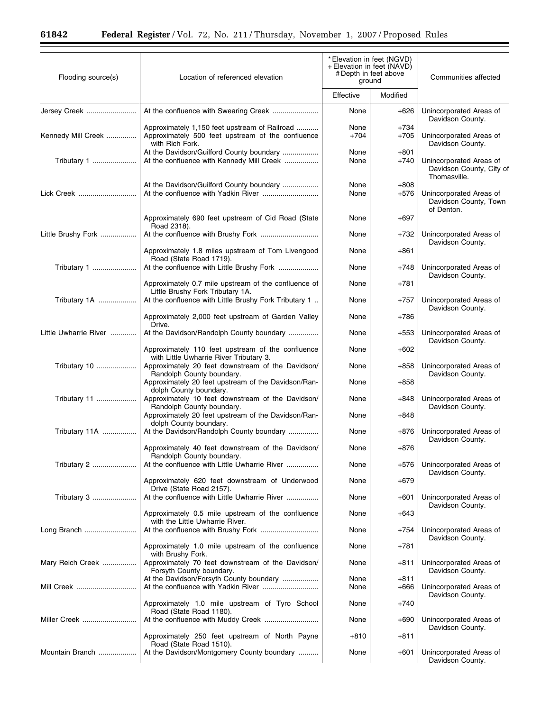$\equiv$ 

| Flooding source(s)    | Location of referenced elevation                                                                                      | * Elevation in feet (NGVD)<br>+ Elevation in feet (NAVD)<br># Depth in feet above<br>ground |                  | Communities affected                                                |
|-----------------------|-----------------------------------------------------------------------------------------------------------------------|---------------------------------------------------------------------------------------------|------------------|---------------------------------------------------------------------|
|                       |                                                                                                                       | Effective                                                                                   | Modified         |                                                                     |
| Jersey Creek          |                                                                                                                       | None                                                                                        | $+626$           | Unincorporated Areas of<br>Davidson County.                         |
| Kennedy Mill Creek    | Approximately 1,150 feet upstream of Railroad<br>Approximately 500 feet upstream of the confluence<br>with Rich Fork. | None<br>$+704$                                                                              | $+734$<br>$+705$ | Unincorporated Areas of<br>Davidson County.                         |
| Tributary 1           | At the Davidson/Guilford County boundary<br>At the confluence with Kennedy Mill Creek                                 | None<br>None                                                                                | $+801$<br>$+740$ | Unincorporated Areas of<br>Davidson County, City of<br>Thomasville. |
| Lick Creek            | At the Davidson/Guilford County boundary                                                                              | None<br>None                                                                                | $+808$<br>$+576$ | Unincorporated Areas of<br>Davidson County, Town                    |
|                       | Approximately 690 feet upstream of Cid Road (State<br>Road 2318).                                                     | None                                                                                        | $+697$           | of Denton.                                                          |
| Little Brushy Fork    |                                                                                                                       | None                                                                                        | $+732$           | Unincorporated Areas of<br>Davidson County.                         |
|                       | Approximately 1.8 miles upstream of Tom Livengood<br>Road (State Road 1719).                                          | None                                                                                        | +861             |                                                                     |
| Tributary 1           | At the confluence with Little Brushy Fork                                                                             | None                                                                                        | $+748$           | Unincorporated Areas of<br>Davidson County.                         |
|                       | Approximately 0.7 mile upstream of the confluence of<br>Little Brushy Fork Tributary 1A.                              | None                                                                                        | +781             |                                                                     |
| Tributary 1A          | At the confluence with Little Brushy Fork Tributary 1                                                                 | None                                                                                        | $+757$           | Unincorporated Areas of<br>Davidson County.                         |
|                       | Approximately 2,000 feet upstream of Garden Valley<br>Drive.                                                          | None                                                                                        | $+786$           |                                                                     |
| Little Uwharrie River | At the Davidson/Randolph County boundary                                                                              | None                                                                                        | $+553$           | Unincorporated Areas of<br>Davidson County.                         |
|                       | Approximately 110 feet upstream of the confluence<br>with Little Uwharrie River Tributary 3.                          | None                                                                                        | $+602$           |                                                                     |
| Tributary 10          | Approximately 20 feet downstream of the Davidson/<br>Randolph County boundary.                                        | None                                                                                        | $+858$           | Unincorporated Areas of<br>Davidson County.                         |
|                       | Approximately 20 feet upstream of the Davidson/Ran-<br>dolph County boundary.                                         | None                                                                                        | $+858$           |                                                                     |
| Tributary 11          | Approximately 10 feet downstream of the Davidson/<br>Randolph County boundary.                                        | None                                                                                        | $+848$           | Unincorporated Areas of<br>Davidson County.                         |
|                       | Approximately 20 feet upstream of the Davidson/Ran-<br>dolph County boundary.                                         | None                                                                                        | $+848$           |                                                                     |
| Tributary 11A         | At the Davidson/Randolph County boundary                                                                              | None                                                                                        | $+876$           | Unincorporated Areas of<br>Davidson County.                         |
|                       | Approximately 40 feet downstream of the Davidson/<br>Randolph County boundary.                                        | None                                                                                        | $+876$           |                                                                     |
| Tributary 2           | At the confluence with Little Uwharrie River                                                                          | None                                                                                        | $+576$           | Unincorporated Areas of<br>Davidson County.                         |
|                       | Approximately 620 feet downstream of Underwood<br>Drive (State Road 2157).                                            | None                                                                                        | $+679$           |                                                                     |
| Tributary 3           | At the confluence with Little Uwharrie River                                                                          | None                                                                                        | $+601$           | Unincorporated Areas of<br>Davidson County.                         |
|                       | Approximately 0.5 mile upstream of the confluence<br>with the Little Uwharrie River.                                  | None                                                                                        | $+643$           |                                                                     |
| Long Branch           |                                                                                                                       | None                                                                                        | $+754$           | Unincorporated Areas of<br>Davidson County.                         |
|                       | Approximately 1.0 mile upstream of the confluence<br>with Brushy Fork.                                                | None                                                                                        | +781             |                                                                     |
| Mary Reich Creek      | Approximately 70 feet downstream of the Davidson/<br>Forsyth County boundary.                                         | None                                                                                        | +811             | Unincorporated Areas of<br>Davidson County.                         |
| Mill Creek            | At the Davidson/Forsyth County boundary                                                                               | None<br>None                                                                                | $+811$<br>$+666$ | Unincorporated Areas of                                             |
|                       | Approximately 1.0 mile upstream of Tyro School<br>Road (State Road 1180).                                             | None                                                                                        | +740             | Davidson County.                                                    |
| Miller Creek          |                                                                                                                       | None                                                                                        | $+690$           | Unincorporated Areas of<br>Davidson County.                         |
|                       | Approximately 250 feet upstream of North Payne<br>Road (State Road 1510).                                             | $+810$                                                                                      | +811             |                                                                     |
| Mountain Branch       | At the Davidson/Montgomery County boundary                                                                            | None                                                                                        | $+601$           | Unincorporated Areas of<br>Davidson County.                         |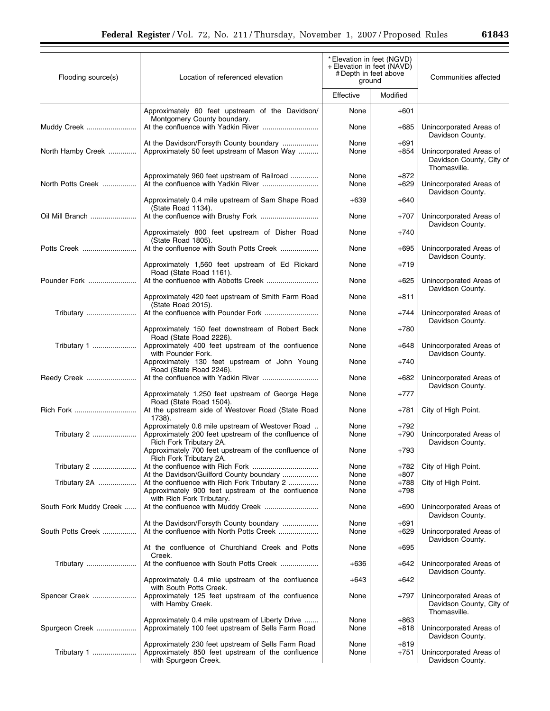|  | 61843 |
|--|-------|
|--|-------|

÷.

| Flooding source(s)     | Location of referenced elevation                                                                                                 | * Elevation in feet (NGVD)<br>+ Elevation in feet (NAVD)<br># Depth in feet above<br>ground |                  | Communities affected                                                |  |
|------------------------|----------------------------------------------------------------------------------------------------------------------------------|---------------------------------------------------------------------------------------------|------------------|---------------------------------------------------------------------|--|
|                        |                                                                                                                                  | Effective                                                                                   | Modified         |                                                                     |  |
|                        | Approximately 60 feet upstream of the Davidson/<br>Montgomery County boundary.                                                   | None                                                                                        | $+601$           |                                                                     |  |
| Muddy Creek            |                                                                                                                                  | None                                                                                        | $+685$           | Unincorporated Areas of<br>Davidson County.                         |  |
| North Hamby Creek      | At the Davidson/Forsyth County boundary<br>Approximately 50 feet upstream of Mason Way                                           | None<br>None                                                                                | $+691$<br>$+854$ | Unincorporated Areas of<br>Davidson County, City of<br>Thomasville. |  |
| North Potts Creek      | Approximately 960 feet upstream of Railroad                                                                                      | None<br>None                                                                                | $+872$<br>$+629$ | Unincorporated Areas of<br>Davidson County.                         |  |
|                        | Approximately 0.4 mile upstream of Sam Shape Road<br>(State Road 1134).                                                          | $+639$                                                                                      | $+640$           |                                                                     |  |
| Oil Mill Branch        |                                                                                                                                  | None                                                                                        | $+707$           | Unincorporated Areas of<br>Davidson County.                         |  |
|                        | Approximately 800 feet upstream of Disher Road<br>(State Road 1805).                                                             | None                                                                                        | $+740$           |                                                                     |  |
| Potts Creek            | At the confluence with South Potts Creek                                                                                         | None                                                                                        | $+695$           | Unincorporated Areas of<br>Davidson County.                         |  |
|                        | Approximately 1,560 feet upstream of Ed Rickard<br>Road (State Road 1161).                                                       | None                                                                                        | $+719$           |                                                                     |  |
| Pounder Fork           |                                                                                                                                  | None                                                                                        | $+625$           | Unincorporated Areas of<br>Davidson County.                         |  |
|                        | Approximately 420 feet upstream of Smith Farm Road<br>(State Road 2015).                                                         | None                                                                                        | +811             |                                                                     |  |
| Tributary              |                                                                                                                                  | None                                                                                        | +744             | Unincorporated Areas of<br>Davidson County.                         |  |
| Tributary 1            | Approximately 150 feet downstream of Robert Beck<br>Road (State Road 2226).<br>Approximately 400 feet upstream of the confluence | None<br>None                                                                                | $+780$<br>$+648$ |                                                                     |  |
|                        | with Pounder Fork.<br>Approximately 130 feet upstream of John Young                                                              | None                                                                                        | $+740$           | Unincorporated Areas of<br>Davidson County.                         |  |
| Reedy Creek            | Road (State Road 2246).                                                                                                          | None                                                                                        | +682             | Unincorporated Areas of                                             |  |
|                        | Approximately 1,250 feet upstream of George Hege                                                                                 | None                                                                                        | $+777$           | Davidson County.                                                    |  |
| Rich Fork              | Road (State Road 1504).<br>At the upstream side of Westover Road (State Road<br>1738).                                           | None                                                                                        | +781             | City of High Point.                                                 |  |
| Tributary 2            | Approximately 0.6 mile upstream of Westover Road<br>Approximately 200 feet upstream of the confluence of                         | None<br>None                                                                                | +792<br>$+790$   | Unincorporated Areas of                                             |  |
|                        | Rich Fork Tributary 2A.<br>Approximately 700 feet upstream of the confluence of                                                  | None                                                                                        | $+793$           | Davidson County.                                                    |  |
| Tributary 2            | Rich Fork Tributary 2A.                                                                                                          | None                                                                                        | +782             | City of High Point.                                                 |  |
|                        | At the Davidson/Guilford County boundary                                                                                         | None                                                                                        | $+807$           |                                                                     |  |
| Tributary 2A           | At the confluence with Rich Fork Tributary 2<br>Approximately 900 feet upstream of the confluence<br>with Rich Fork Tributary.   | None<br>None                                                                                | +788<br>$+798$   | City of High Point.                                                 |  |
| South Fork Muddy Creek |                                                                                                                                  | None                                                                                        | $+690$           | Unincorporated Areas of<br>Davidson County.                         |  |
| South Potts Creek      | At the Davidson/Forsyth County boundary                                                                                          | None<br>None                                                                                | +691<br>$+629$   | Unincorporated Areas of                                             |  |
|                        | At the confluence of Churchland Creek and Potts<br>Creek.                                                                        | None                                                                                        | $+695$           | Davidson County.                                                    |  |
| Tributary              |                                                                                                                                  | +636                                                                                        | +642             | Unincorporated Areas of<br>Davidson County.                         |  |
|                        | Approximately 0.4 mile upstream of the confluence<br>with South Potts Creek.                                                     | $+643$                                                                                      | $+642$           |                                                                     |  |
| Spencer Creek          | Approximately 125 feet upstream of the confluence<br>with Hamby Creek.                                                           | None                                                                                        | $+797$           | Unincorporated Areas of<br>Davidson County, City of<br>Thomasville. |  |
| Spurgeon Creek         | Approximately 0.4 mile upstream of Liberty Drive<br>Approximately 100 feet upstream of Sells Farm Road                           | None<br>None                                                                                | $+863$<br>+818   | Unincorporated Areas of<br>Davidson County.                         |  |
| Tributary 1            | Approximately 230 feet upstream of Sells Farm Road<br>Approximately 850 feet upstream of the confluence<br>with Spurgeon Creek.  | None<br>None                                                                                | $+819$<br>$+751$ | Unincorporated Areas of<br>Davidson County.                         |  |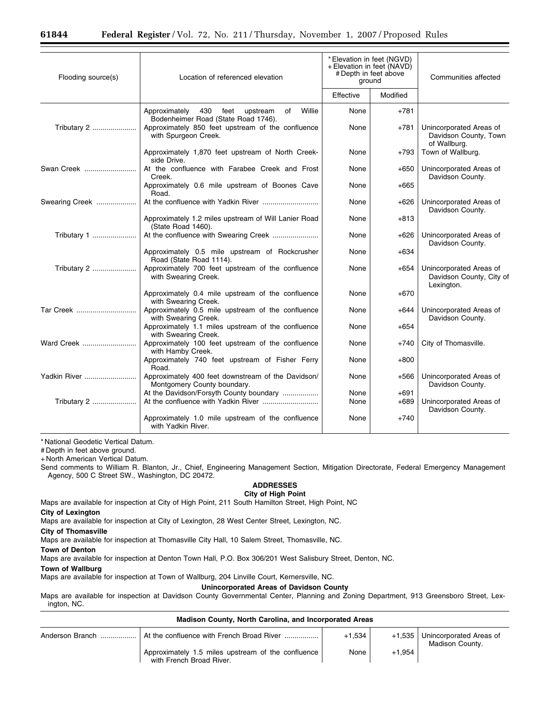| Flooding source(s) | Location of referenced elevation                                                          | *Elevation in feet (NGVD)<br>+ Elevation in feet (NAVD)<br># Depth in feet above<br>ground |                  | Communities affected                                              |  |
|--------------------|-------------------------------------------------------------------------------------------|--------------------------------------------------------------------------------------------|------------------|-------------------------------------------------------------------|--|
|                    |                                                                                           | Effective                                                                                  | Modified         |                                                                   |  |
|                    | Willie<br>Approximately<br>430 feet upstream<br>of<br>Bodenheimer Road (State Road 1746). | None                                                                                       | $+781$           |                                                                   |  |
| Tributary 2        | Approximately 850 feet upstream of the confluence<br>with Spurgeon Creek.                 | None                                                                                       | +781             | Unincorporated Areas of<br>Davidson County, Town<br>of Wallburg.  |  |
|                    | Approximately 1,870 feet upstream of North Creek-<br>side Drive.                          | None                                                                                       | +793             | Town of Wallburg.                                                 |  |
| Swan Creek         | At the confluence with Farabee Creek and Frost<br>Creek.                                  | None                                                                                       | $+650$           | Unincorporated Areas of<br>Davidson County.                       |  |
|                    | Approximately 0.6 mile upstream of Boones Cave<br>Road.                                   | None                                                                                       | $+665$           |                                                                   |  |
| Swearing Creek     |                                                                                           | None                                                                                       | $+626$           | Unincorporated Areas of<br>Davidson County.                       |  |
|                    | Approximately 1.2 miles upstream of Will Lanier Road<br>(State Road 1460).                | None                                                                                       | $+813$           |                                                                   |  |
| Tributary 1        | At the confluence with Swearing Creek                                                     | None                                                                                       | $+626$           | Unincorporated Areas of<br>Davidson County.                       |  |
|                    | Approximately 0.5 mile upstream of Rockcrusher<br>Road (State Road 1114).                 | None                                                                                       | $+634$           |                                                                   |  |
| Tributary 2        | Approximately 700 feet upstream of the confluence<br>with Swearing Creek.                 | None                                                                                       | +654             | Unincorporated Areas of<br>Davidson County, City of<br>Lexington. |  |
|                    | Approximately 0.4 mile upstream of the confluence<br>with Swearing Creek.                 | None                                                                                       | $+670$           |                                                                   |  |
| Tar Creek          | Approximately 0.5 mile upstream of the confluence<br>with Swearing Creek.                 | None                                                                                       | $+644$           | Unincorporated Areas of<br>Davidson County.                       |  |
|                    | Approximately 1.1 miles upstream of the confluence<br>with Swearing Creek.                | None                                                                                       | $+654$           |                                                                   |  |
| Ward Creek         | Approximately 100 feet upstream of the confluence<br>with Hamby Creek.                    | None                                                                                       | +740             | City of Thomasville.                                              |  |
|                    | Approximately 740 feet upstream of Fisher Ferry<br>Road.                                  | None                                                                                       | $+800$           |                                                                   |  |
| Yadkin River       | Approximately 400 feet downstream of the Davidson/<br>Montgomery County boundary.         | None                                                                                       | $+566$           | Unincorporated Areas of<br>Davidson County.                       |  |
| Tributary 2        | At the Davidson/Forsyth County boundary                                                   | None<br>None                                                                               | $+691$<br>$+689$ | Unincorporated Areas of                                           |  |
|                    | Approximately 1.0 mile upstream of the confluence<br>with Yadkin River.                   | None                                                                                       | $+740$           | Davidson County.                                                  |  |

# Depth in feet above ground.

+ North American Vertical Datum.

Send comments to William R. Blanton, Jr., Chief, Engineering Management Section, Mitigation Directorate, Federal Emergency Management Agency, 500 C Street SW., Washington, DC 20472.

### **ADDRESSES City of High Point**

Maps are available for inspection at City of High Point, 211 South Hamilton Street, High Point, NC

### **City of Lexington**

Maps are available for inspection at City of Lexington, 28 West Center Street, Lexington, NC.

**City of Thomasville** 

Maps are available for inspection at Thomasville City Hall, 10 Salem Street, Thomasville, NC.

# **Town of Denton**

Maps are available for inspection at Denton Town Hall, P.O. Box 306/201 West Salisbury Street, Denton, NC.

# **Town of Wallburg**

Maps are available for inspection at Town of Wallburg, 204 Linville Court, Kernersville, NC.

# **Unincorporated Areas of Davidson County**

Maps are available for inspection at Davidson County Governmental Center, Planning and Zoning Department, 913 Greensboro Street, Lexington, NC.

| Madison County, North Carolina, and Incorporated Areas |                                                                                |          |          |                                            |  |  |
|--------------------------------------------------------|--------------------------------------------------------------------------------|----------|----------|--------------------------------------------|--|--|
|                                                        |                                                                                | $+1.534$ | $+1.535$ | Unincorporated Areas of<br>Madison County. |  |  |
|                                                        | Approximately 1.5 miles upstream of the confluence<br>with French Broad River. | None     | $+1.954$ |                                            |  |  |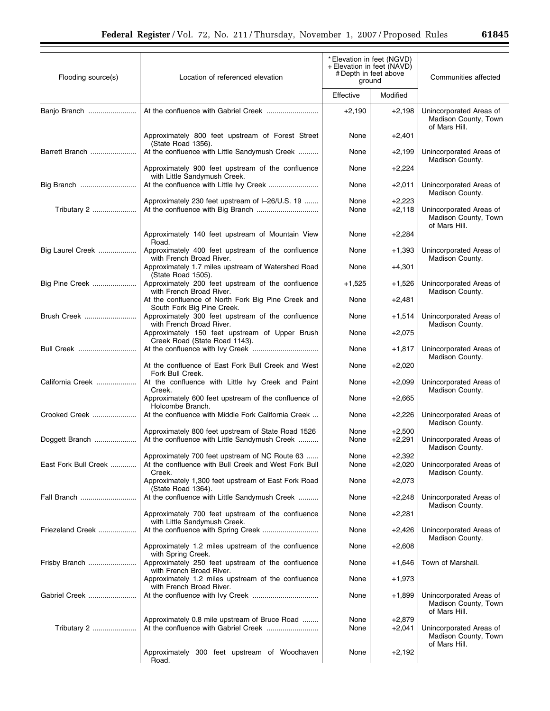| Flooding source(s)   | * Elevation in feet (NGVD)<br>+ Elevation in feet (NAVD)<br># Depth in feet above<br>Location of referenced elevation<br>ground |              |                      | Communities affected                                             |
|----------------------|---------------------------------------------------------------------------------------------------------------------------------|--------------|----------------------|------------------------------------------------------------------|
|                      |                                                                                                                                 | Effective    | Modified             |                                                                  |
| Banjo Branch         |                                                                                                                                 | $+2,190$     | $+2,198$             | Unincorporated Areas of<br>Madison County, Town<br>of Mars Hill. |
|                      | Approximately 800 feet upstream of Forest Street<br>(State Road 1356).                                                          | None         | $+2,401$             |                                                                  |
| Barrett Branch       | At the confluence with Little Sandymush Creek                                                                                   | None         | $+2,199$             | Unincorporated Areas of<br>Madison County.                       |
|                      | Approximately 900 feet upstream of the confluence<br>with Little Sandymush Creek.                                               | None         | $+2,224$             |                                                                  |
| Big Branch           |                                                                                                                                 | None         | $+2,011$             | Unincorporated Areas of<br>Madison County.                       |
| Tributary 2          | Approximately 230 feet upstream of I-26/U.S. 19                                                                                 | None<br>None | $+2,223$<br>$+2,118$ | Unincorporated Areas of<br>Madison County, Town<br>of Mars Hill. |
|                      | Approximately 140 feet upstream of Mountain View<br>Road.                                                                       | None         | $+2,284$             |                                                                  |
| Big Laurel Creek     | Approximately 400 feet upstream of the confluence<br>with French Broad River.                                                   | None         | $+1,393$             | Unincorporated Areas of<br>Madison County.                       |
|                      | Approximately 1.7 miles upstream of Watershed Road<br>(State Road 1505).                                                        | None         | $+4,301$             |                                                                  |
| Big Pine Creek       | Approximately 200 feet upstream of the confluence<br>with French Broad River.                                                   | $+1,525$     | $+1,526$             | Unincorporated Areas of<br>Madison County.                       |
|                      | At the confluence of North Fork Big Pine Creek and<br>South Fork Big Pine Creek.                                                | None         | $+2,481$             |                                                                  |
| Brush Creek          | Approximately 300 feet upstream of the confluence<br>with French Broad River.                                                   | None         | $+1,514$             | Unincorporated Areas of<br>Madison County.                       |
|                      | Approximately 150 feet upstream of Upper Brush<br>Creek Road (State Road 1143).                                                 | None         | $+2,075$             |                                                                  |
| Bull Creek           | At the confluence of East Fork Bull Creek and West                                                                              | None<br>None | $+1,817$             | Unincorporated Areas of<br>Madison County.                       |
| California Creek     | Fork Bull Creek.<br>At the confluence with Little Ivy Creek and Paint                                                           | None         | $+2,020$<br>$+2,099$ | Unincorporated Areas of                                          |
|                      | Creek.<br>Approximately 600 feet upstream of the confluence of                                                                  | None         | $+2,665$             | Madison County.                                                  |
| Crooked Creek        | Holcombe Branch.<br>At the confluence with Middle Fork California Creek                                                         | None         | $+2,226$             | Unincorporated Areas of                                          |
|                      | Approximately 800 feet upstream of State Road 1526                                                                              | None         | $+2,500$             | Madison County.                                                  |
| Doggett Branch       | At the confluence with Little Sandymush Creek                                                                                   | None         | $+2,291$             | Unincorporated Areas of<br>Madison County.                       |
| East Fork Bull Creek | Approximately 700 feet upstream of NC Route 63<br>At the confluence with Bull Creek and West Fork Bull<br>Creek.                | None<br>None | $+2,392$<br>$+2,020$ | Unincorporated Areas of<br>Madison County.                       |
|                      | Approximately 1,300 feet upstream of East Fork Road<br>(State Road 1364).                                                       | None         | $+2,073$             |                                                                  |
| Fall Branch          | At the confluence with Little Sandymush Creek                                                                                   | None         | $+2,248$             | Unincorporated Areas of<br>Madison County.                       |
|                      | Approximately 700 feet upstream of the confluence<br>with Little Sandymush Creek.                                               | None         | $+2,281$             |                                                                  |
| Friezeland Creek     | At the confluence with Spring Creek                                                                                             | None         | +2,426               | Unincorporated Areas of<br>Madison County.                       |
|                      | Approximately 1.2 miles upstream of the confluence<br>with Spring Creek.                                                        | None         | $+2,608$             |                                                                  |
| Frisby Branch        | Approximately 250 feet upstream of the confluence<br>with French Broad River.                                                   | None         | +1,646               | Town of Marshall.                                                |
|                      | Approximately 1.2 miles upstream of the confluence<br>with French Broad River.                                                  | None         | $+1,973$             |                                                                  |
| Gabriel Creek        |                                                                                                                                 | None         | $+1,899$             | Unincorporated Areas of<br>Madison County, Town<br>of Mars Hill. |
| Tributary 2          | Approximately 0.8 mile upstream of Bruce Road                                                                                   | None<br>None | $+2,879$<br>$+2,041$ | Unincorporated Areas of<br>Madison County, Town<br>of Mars Hill. |
|                      | Approximately 300 feet upstream of Woodhaven<br>Road.                                                                           | None         | $+2,192$             |                                                                  |

2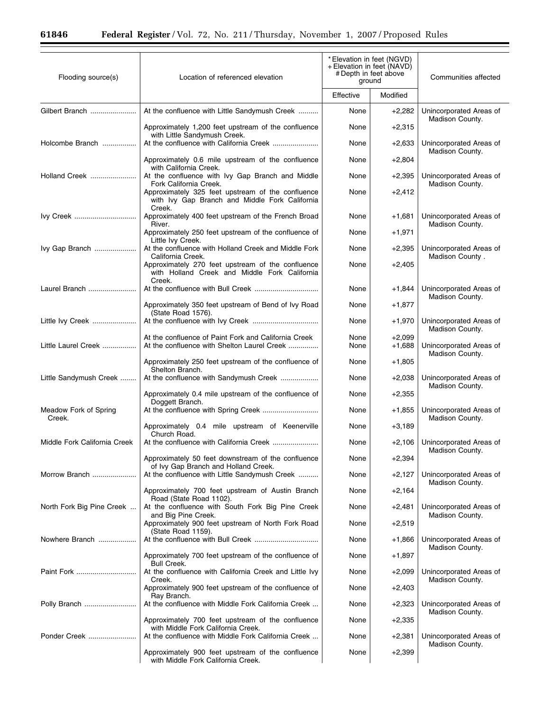Ξ

| Flooding source(s)              | Location of referenced elevation                                                                                           | * Elevation in feet (NGVD)<br>+ Elevation in feet (NAVD)<br># Depth in feet above<br>ground |                      | Communities affected                       |
|---------------------------------|----------------------------------------------------------------------------------------------------------------------------|---------------------------------------------------------------------------------------------|----------------------|--------------------------------------------|
|                                 |                                                                                                                            | Effective                                                                                   | Modified             |                                            |
| Gilbert Branch                  | At the confluence with Little Sandymush Creek                                                                              | None                                                                                        | $+2,282$             | Unincorporated Areas of<br>Madison County. |
|                                 | Approximately 1,200 feet upstream of the confluence<br>with Little Sandymush Creek.                                        | None                                                                                        | $+2,315$             |                                            |
| Holcombe Branch                 |                                                                                                                            | None                                                                                        | $+2,633$             | Unincorporated Areas of<br>Madison County. |
|                                 | Approximately 0.6 mile upstream of the confluence<br>with California Creek.                                                | None                                                                                        | $+2,804$             |                                            |
| Holland Creek                   | At the confluence with Ivy Gap Branch and Middle<br>Fork California Creek.                                                 | None                                                                                        | $+2,395$             | Unincorporated Areas of<br>Madison County. |
|                                 | Approximately 325 feet upstream of the confluence<br>with Ivy Gap Branch and Middle Fork California<br>Creek.              | None                                                                                        | $+2,412$             |                                            |
| Ivy Creek                       | Approximately 400 feet upstream of the French Broad<br>River.                                                              | None                                                                                        | $+1,681$             | Unincorporated Areas of<br>Madison County. |
|                                 | Approximately 250 feet upstream of the confluence of<br>Little Ivy Creek.                                                  | None                                                                                        | $+1,971$             |                                            |
| Ivy Gap Branch                  | At the confluence with Holland Creek and Middle Fork<br>California Creek.                                                  | None                                                                                        | $+2,395$             | Unincorporated Areas of<br>Madison County. |
|                                 | Approximately 270 feet upstream of the confluence<br>with Holland Creek and Middle Fork California<br>Creek.               | None                                                                                        | $+2,405$             |                                            |
| Laurel Branch                   |                                                                                                                            | None                                                                                        | $+1,844$             | Unincorporated Areas of<br>Madison County. |
|                                 | Approximately 350 feet upstream of Bend of Ivy Road<br>(State Road 1576).                                                  | None                                                                                        | $+1,877$             |                                            |
| Little Ivy Creek                |                                                                                                                            | None                                                                                        | $+1,970$             | Unincorporated Areas of<br>Madison County. |
| Little Laurel Creek             | At the confluence of Paint Fork and California Creek<br>At the confluence with Shelton Laurel Creek                        | None<br>None                                                                                | $+2,099$<br>$+1,688$ | Unincorporated Areas of<br>Madison County. |
|                                 | Approximately 250 feet upstream of the confluence of<br>Shelton Branch.                                                    | None                                                                                        | $+1,805$             |                                            |
| Little Sandymush Creek          | At the confluence with Sandymush Creek                                                                                     | None                                                                                        | $+2,038$             | Unincorporated Areas of<br>Madison County. |
|                                 | Approximately 0.4 mile upstream of the confluence of<br>Doggett Branch.                                                    | None                                                                                        | $+2,355$             |                                            |
| Meadow Fork of Spring<br>Creek. |                                                                                                                            | None                                                                                        | $+1,855$             | Unincorporated Areas of<br>Madison County. |
|                                 | Approximately 0.4 mile upstream of Keenerville<br>Church Road.                                                             | None                                                                                        | $+3,189$             |                                            |
| Middle Fork California Creek    |                                                                                                                            | None                                                                                        | $+2,106$             | Unincorporated Areas of<br>Madison County. |
|                                 | Approximately 50 feet downstream of the confluence<br>of Ivy Gap Branch and Holland Creek.                                 | None                                                                                        | $+2,394$             |                                            |
| Morrow Branch                   | At the confluence with Little Sandymush Creek                                                                              | None                                                                                        | $+2,127$             | Unincorporated Areas of<br>Madison County. |
|                                 | Approximately 700 feet upstream of Austin Branch<br>Road (State Road 1102).                                                | None                                                                                        | $+2,164$             |                                            |
| North Fork Big Pine Creek       | At the confluence with South Fork Big Pine Creek<br>and Big Pine Creek.                                                    | None                                                                                        | $+2,481$             | Unincorporated Areas of<br>Madison County. |
|                                 | Approximately 900 feet upstream of North Fork Road<br>(State Road 1159).                                                   | None                                                                                        | $+2,519$             |                                            |
| Nowhere Branch                  |                                                                                                                            | None                                                                                        | +1,866               | Unincorporated Areas of<br>Madison County. |
|                                 | Approximately 700 feet upstream of the confluence of<br><b>Bull Creek.</b>                                                 | None                                                                                        | $+1,897$             |                                            |
|                                 | At the confluence with California Creek and Little Ivy<br>Creek.                                                           | None                                                                                        | $+2,099$             | Unincorporated Areas of<br>Madison County. |
| Polly Branch                    | Approximately 900 feet upstream of the confluence of<br>Ray Branch.<br>At the confluence with Middle Fork California Creek | None<br>None                                                                                | $+2,403$<br>$+2,323$ | Unincorporated Areas of                    |
|                                 | Approximately 700 feet upstream of the confluence                                                                          | None                                                                                        | $+2,335$             | Madison County.                            |
| Ponder Creek                    | with Middle Fork California Creek.<br>At the confluence with Middle Fork California Creek                                  | None                                                                                        | $+2,381$             | Unincorporated Areas of                    |
|                                 | Approximately 900 feet upstream of the confluence                                                                          | None                                                                                        | $+2,399$             | Madison County.                            |
|                                 | with Middle Fork California Creek.                                                                                         |                                                                                             |                      |                                            |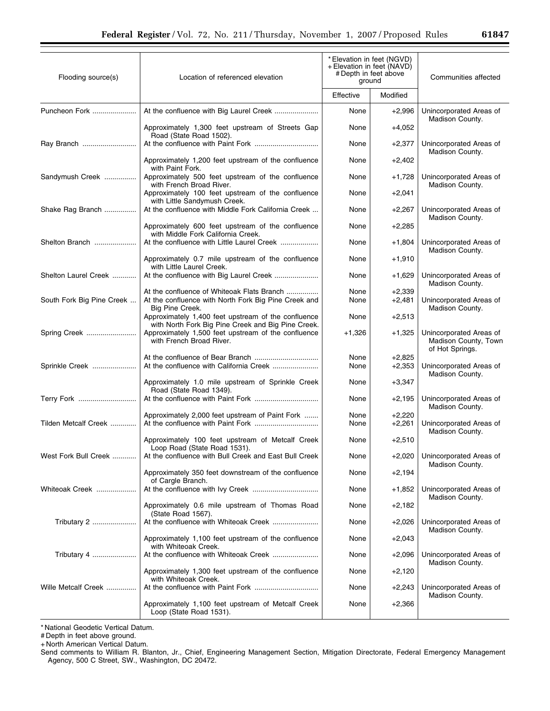| Flooding source(s)        | Location of referenced elevation                                                                                      | * Elevation in feet (NGVD)<br>+ Elevation in feet (NAVD)<br># Depth in feet above<br>ground |                      | Communities affected                                               |
|---------------------------|-----------------------------------------------------------------------------------------------------------------------|---------------------------------------------------------------------------------------------|----------------------|--------------------------------------------------------------------|
|                           |                                                                                                                       | Effective                                                                                   | Modified             |                                                                    |
| Puncheon Fork             | At the confluence with Big Laurel Creek                                                                               | None                                                                                        | $+2,996$             | Unincorporated Areas of<br>Madison County.                         |
|                           | Approximately 1,300 feet upstream of Streets Gap<br>Road (State Road 1502).                                           | None                                                                                        | $+4,052$             |                                                                    |
| Ray Branch                |                                                                                                                       | None                                                                                        | $+2,377$             | Unincorporated Areas of<br>Madison County.                         |
|                           | Approximately 1,200 feet upstream of the confluence<br>with Paint Fork.                                               | None                                                                                        | $+2,402$             |                                                                    |
| Sandymush Creek           | Approximately 500 feet upstream of the confluence<br>with French Broad River.                                         | None                                                                                        | $+1,728$             | Unincorporated Areas of<br>Madison County.                         |
|                           | Approximately 100 feet upstream of the confluence<br>with Little Sandymush Creek.                                     | None                                                                                        | $+2,041$             |                                                                    |
| Shake Rag Branch          | At the confluence with Middle Fork California Creek                                                                   | None                                                                                        | $+2,267$             | Unincorporated Areas of<br>Madison County.                         |
|                           | Approximately 600 feet upstream of the confluence<br>with Middle Fork California Creek.                               | None                                                                                        | $+2,285$             |                                                                    |
| Shelton Branch            | At the confluence with Little Laurel Creek                                                                            | None                                                                                        | $+1,804$             | Unincorporated Areas of<br>Madison County.                         |
|                           | Approximately 0.7 mile upstream of the confluence<br>with Little Laurel Creek.                                        | None                                                                                        | $+1,910$             |                                                                    |
| Shelton Laurel Creek      | At the confluence with Big Laurel Creek                                                                               | None                                                                                        | $+1,629$             | Unincorporated Areas of<br>Madison County.                         |
| South Fork Big Pine Creek | At the confluence of Whiteoak Flats Branch<br>At the confluence with North Fork Big Pine Creek and<br>Big Pine Creek. | None<br>None                                                                                | $+2,339$<br>$+2,481$ | Unincorporated Areas of<br>Madison County.                         |
|                           | Approximately 1,400 feet upstream of the confluence<br>with North Fork Big Pine Creek and Big Pine Creek.             | None                                                                                        | $+2,513$             |                                                                    |
| Spring Creek              | Approximately 1,500 feet upstream of the confluence<br>with French Broad River.                                       | $+1,326$                                                                                    | $+1,325$             | Unincorporated Areas of<br>Madison County, Town<br>of Hot Springs. |
| Sprinkle Creek            | At the confluence with California Creek                                                                               | None<br>None                                                                                | $+2,825$<br>$+2,353$ | Unincorporated Areas of<br>Madison County.                         |
|                           | Approximately 1.0 mile upstream of Sprinkle Creek<br>Road (State Road 1349).                                          | None                                                                                        | $+3,347$             |                                                                    |
| Terry Fork                |                                                                                                                       | None                                                                                        | $+2,195$             | Unincorporated Areas of<br>Madison County.                         |
| Tilden Metcalf Creek      | Approximately 2,000 feet upstream of Paint Fork                                                                       | None<br>None                                                                                | $+2,220$<br>$+2,261$ | Unincorporated Areas of<br>Madison County.                         |
|                           | Approximately 100 feet upstream of Metcalf Creek<br>Loop Road (State Road 1531).                                      | None                                                                                        | $+2,510$             |                                                                    |
| West Fork Bull Creek      | At the confluence with Bull Creek and East Bull Creek                                                                 | None                                                                                        | $+2,020$             | Unincorporated Areas of<br>Madison County.                         |
|                           | Approximately 350 feet downstream of the confluence<br>of Cargle Branch.                                              | None                                                                                        | $+2,194$             |                                                                    |
| Whiteoak Creek            |                                                                                                                       | None                                                                                        | $+1,852$             | Unincorporated Areas of<br>Madison County.                         |
|                           | Approximately 0.6 mile upstream of Thomas Road<br>(State Road 1567).                                                  | None                                                                                        | $+2,182$             |                                                                    |
| Tributary 2               |                                                                                                                       | None                                                                                        | $+2,026$             | Unincorporated Areas of<br>Madison County.                         |
|                           | Approximately 1,100 feet upstream of the confluence<br>with Whiteoak Creek.                                           | None                                                                                        | $+2,043$             |                                                                    |
| Tributary 4               |                                                                                                                       | None                                                                                        | $+2,096$             | Unincorporated Areas of<br>Madison County.                         |
|                           | Approximately 1,300 feet upstream of the confluence<br>with Whiteoak Creek.                                           | None                                                                                        | $+2,120$             |                                                                    |
| Wille Metcalf Creek       |                                                                                                                       | None                                                                                        | $+2,243$             | Unincorporated Areas of<br>Madison County.                         |
|                           | Approximately 1,100 feet upstream of Metcalf Creek<br>Loop (State Road 1531).                                         | None                                                                                        | $+2,366$             |                                                                    |

# Depth in feet above ground.

+ North American Vertical Datum.

Send comments to William R. Blanton, Jr., Chief, Engineering Management Section, Mitigation Directorate, Federal Emergency Management Agency, 500 C Street, SW., Washington, DC 20472.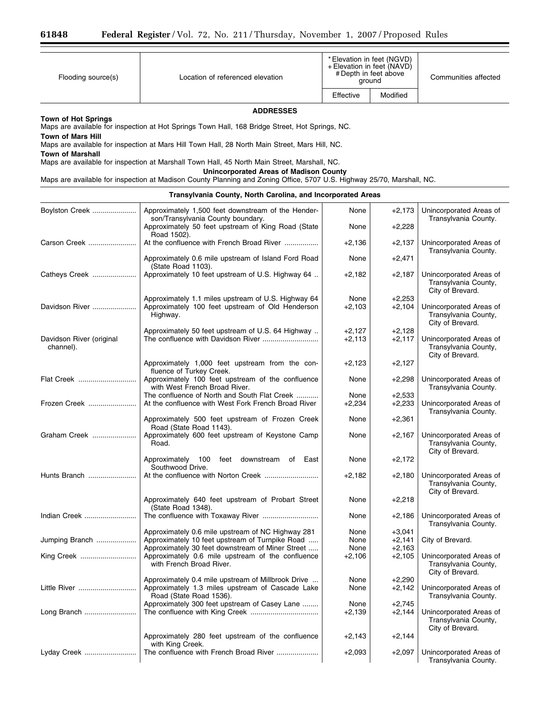| Flooding source(s) | Location of referenced elevation | * Elevation in feet (NGVD)<br>+ Elevation in feet (NAVD)<br># Depth in feet above<br>ground |          | Communities affected |
|--------------------|----------------------------------|---------------------------------------------------------------------------------------------|----------|----------------------|
|                    |                                  | Effective                                                                                   | Modified |                      |
| <b>ADDRESSES</b>   |                                  |                                                                                             |          |                      |

**Town of Hot Springs** 

Maps are available for inspection at Hot Springs Town Hall, 168 Bridge Street, Hot Springs, NC.

**Town of Mars Hill** 

Maps are available for inspection at Mars Hill Town Hall, 28 North Main Street, Mars Hill, NC.

**Town of Marshall** 

Maps are available for inspection at Marshall Town Hall, 45 North Main Street, Marshall, NC.

**Unincorporated Areas of Madison County** 

Maps are available for inspection at Madison County Planning and Zoning Office, 5707 U.S. Highway 25/70, Marshall, NC.

# **Transylvania County, North Carolina, and Incorporated Areas**

| Boylston Creek                        | Approximately 1,500 feet downstream of the Hender-<br>son/Transylvania County boundary.                 | None             | $+2,173$             | Unincorporated Areas of<br>Transylvania County.                     |
|---------------------------------------|---------------------------------------------------------------------------------------------------------|------------------|----------------------|---------------------------------------------------------------------|
|                                       | Approximately 50 feet upstream of King Road (State<br>Road 1502).                                       | None             | $+2,228$             |                                                                     |
| Carson Creek                          | At the confluence with French Broad River                                                               | $+2,136$         | $+2,137$             | Unincorporated Areas of<br>Transylvania County.                     |
|                                       | Approximately 0.6 mile upstream of Island Ford Road<br>(State Road 1103).                               | None             | $+2,471$             |                                                                     |
| Catheys Creek                         | Approximately 10 feet upstream of U.S. Highway 64                                                       | $+2,182$         | $+2,187$             | Unincorporated Areas of<br>Transylvania County,<br>City of Brevard. |
| Davidson River                        | Approximately 1.1 miles upstream of U.S. Highway 64<br>Approximately 100 feet upstream of Old Henderson | None<br>$+2,103$ | $+2,253$<br>$+2,104$ | Unincorporated Areas of                                             |
|                                       | Highway.                                                                                                |                  |                      | Transylvania County,<br>City of Brevard.                            |
|                                       | Approximately 50 feet upstream of U.S. 64 Highway                                                       | $+2,127$         | $+2,128$             |                                                                     |
| Davidson River (original<br>channel). |                                                                                                         | $+2,113$         | $+2,117$             | Unincorporated Areas of<br>Transylvania County,<br>City of Brevard. |
|                                       | Approximately 1,000 feet upstream from the con-<br>fluence of Turkey Creek.                             | $+2,123$         | $+2,127$             |                                                                     |
| Flat Creek                            | Approximately 100 feet upstream of the confluence<br>with West French Broad River.                      | None             | $+2,298$             | Unincorporated Areas of<br>Transylvania County.                     |
|                                       | The confluence of North and South Flat Creek                                                            | None             | $+2,533$             |                                                                     |
| Frozen Creek                          | At the confluence with West Fork French Broad River                                                     | $+2,234$         | $+2,233$             | Unincorporated Areas of<br>Transylvania County.                     |
|                                       | Approximately 500 feet upstream of Frozen Creek<br>Road (State Road 1143).                              | None             | $+2,361$             |                                                                     |
| Graham Creek                          | Approximately 600 feet upstream of Keystone Camp<br>Road.                                               | None             | $+2,167$             | Unincorporated Areas of<br>Transylvania County,<br>City of Brevard. |
|                                       | Approximately 100 feet downstream of East<br>Southwood Drive.                                           | None             | $+2,172$             |                                                                     |
| Hunts Branch                          |                                                                                                         | $+2,182$         | $+2,180$             | Unincorporated Areas of<br>Transylvania County,<br>City of Brevard. |
|                                       | Approximately 640 feet upstream of Probart Street<br>(State Road 1348).                                 | None             | $+2,218$             |                                                                     |
| Indian Creek                          | The confluence with Toxaway River                                                                       | None             | $+2,186$             | Unincorporated Areas of<br>Transylvania County.                     |
|                                       | Approximately 0.6 mile upstream of NC Highway 281                                                       | None             | $+3,041$             |                                                                     |
| Jumping Branch                        | Approximately 10 feet upstream of Turnpike Road                                                         | None             | $+2,141$             | City of Brevard.                                                    |
| King Creek                            | Approximately 30 feet downstream of Miner Street<br>Approximately 0.6 mile upstream of the confluence   | None<br>$+2,106$ | $+2,163$<br>$+2,105$ | Unincorporated Areas of                                             |
|                                       | with French Broad River.                                                                                |                  |                      | Transylvania County,<br>City of Brevard.                            |
|                                       | Approximately 0.4 mile upstream of Millbrook Drive                                                      | None             | $+2,290$             |                                                                     |
| Little River                          | Approximately 1.3 miles upstream of Cascade Lake<br>Road (State Road 1536).                             | None             | $+2,142$             | Unincorporated Areas of<br>Transylvania County.                     |
|                                       | Approximately 300 feet upstream of Casey Lane                                                           | None             | $+2,745$             |                                                                     |
| Long Branch                           |                                                                                                         | $+2,139$         | $+2,144$             | Unincorporated Areas of<br>Transylvania County,<br>City of Brevard. |
|                                       | Approximately 280 feet upstream of the confluence<br>with King Creek.                                   | $+2,143$         | $+2,144$             |                                                                     |
| Lyday Creek                           | The confluence with French Broad River                                                                  | $+2,093$         | $+2,097$             | Unincorporated Areas of<br>Transylvania County.                     |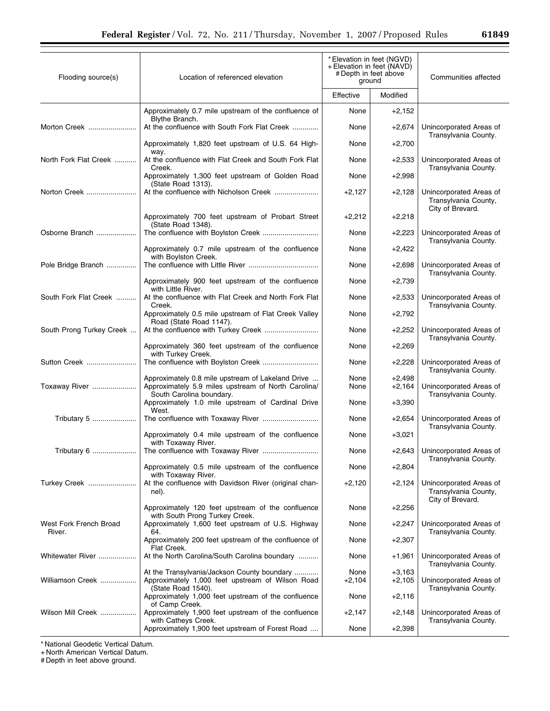| Flooding source(s)               | Location of referenced elevation                                                                                                     | * Elevation in feet (NGVD)<br>+ Elevation in feet (NAVD)<br># Depth in feet above<br>ground |                      | Communities affected                                                |
|----------------------------------|--------------------------------------------------------------------------------------------------------------------------------------|---------------------------------------------------------------------------------------------|----------------------|---------------------------------------------------------------------|
|                                  |                                                                                                                                      | Effective                                                                                   | Modified             |                                                                     |
|                                  | Approximately 0.7 mile upstream of the confluence of<br>Blythe Branch.                                                               | None                                                                                        | $+2,152$             |                                                                     |
| Morton Creek                     | At the confluence with South Fork Flat Creek                                                                                         | None                                                                                        | $+2,674$             | Unincorporated Areas of<br>Transylvania County.                     |
|                                  | Approximately 1,820 feet upstream of U.S. 64 High-<br>way.                                                                           | None                                                                                        | $+2,700$             |                                                                     |
| North Fork Flat Creek            | At the confluence with Flat Creek and South Fork Flat<br>Creek.                                                                      | None                                                                                        | $+2,533$             | Unincorporated Areas of<br>Transylvania County.                     |
|                                  | Approximately 1,300 feet upstream of Golden Road<br>(State Road 1313).                                                               | None                                                                                        | $+2,998$             |                                                                     |
| Norton Creek                     |                                                                                                                                      | $+2,127$                                                                                    | $+2,128$             | Unincorporated Areas of<br>Transylvania County,<br>City of Brevard. |
|                                  | Approximately 700 feet upstream of Probart Street<br>(State Road 1348).                                                              | $+2,212$                                                                                    | $+2,218$             |                                                                     |
| Osborne Branch                   | The confluence with Boylston Creek                                                                                                   | None                                                                                        | $+2,223$             | Unincorporated Areas of<br>Transylvania County.                     |
|                                  | Approximately 0.7 mile upstream of the confluence<br>with Boylston Creek.                                                            | None                                                                                        | $+2,422$             |                                                                     |
| Pole Bridge Branch               |                                                                                                                                      | None                                                                                        | $+2,698$             | Unincorporated Areas of<br>Transylvania County.                     |
|                                  | Approximately 900 feet upstream of the confluence<br>with Little River.                                                              | None                                                                                        | $+2,739$             |                                                                     |
| South Fork Flat Creek            | At the confluence with Flat Creek and North Fork Flat<br>Creek.                                                                      | None                                                                                        | $+2,533$             | Unincorporated Areas of<br>Transylvania County.                     |
|                                  | Approximately 0.5 mile upstream of Flat Creek Valley<br>Road (State Road 1147).                                                      | None                                                                                        | $+2,792$             |                                                                     |
| South Prong Turkey Creek         | At the confluence with Turkey Creek                                                                                                  | None                                                                                        | $+2,252$             | Unincorporated Areas of                                             |
|                                  | Approximately 360 feet upstream of the confluence<br>with Turkey Creek.                                                              | None                                                                                        | $+2,269$             | Transylvania County.                                                |
| Sutton Creek                     | The confluence with Boylston Creek                                                                                                   | None                                                                                        | $+2,228$             | Unincorporated Areas of<br>Transylvania County.                     |
| Toxaway River                    | Approximately 0.8 mile upstream of Lakeland Drive<br>Approximately 5.9 miles upstream of North Carolina/<br>South Carolina boundary. | None<br>None                                                                                | $+2,498$<br>$+2,164$ | Unincorporated Areas of<br>Transylvania County.                     |
|                                  | Approximately 1.0 mile upstream of Cardinal Drive<br>West.                                                                           | None                                                                                        | $+3,390$             |                                                                     |
| Tributary 5                      | The confluence with Toxaway River                                                                                                    | None                                                                                        | $+2,654$             | Unincorporated Areas of<br>Transylvania County.                     |
|                                  | Approximately 0.4 mile upstream of the confluence<br>with Toxaway River.                                                             | None                                                                                        | $+3,021$             |                                                                     |
| Tributary 6                      | The confluence with Toxaway River                                                                                                    | None                                                                                        | $+2.643$             | Unincorporated Areas of<br>Transylvania County.                     |
|                                  | Approximately 0.5 mile upstream of the confluence<br>with Toxaway River.                                                             | None                                                                                        | $+2,804$             |                                                                     |
| Turkey Creek                     | At the confluence with Davidson River (original chan-<br>nel).                                                                       | $+2,120$                                                                                    | $+2,124$             | Unincorporated Areas of<br>Transylvania County,<br>City of Brevard. |
|                                  | Approximately 120 feet upstream of the confluence<br>with South Prong Turkey Creek.                                                  | None                                                                                        | $+2,256$             |                                                                     |
| West Fork French Broad<br>River. | Approximately 1,600 feet upstream of U.S. Highway<br>64.                                                                             | None                                                                                        | $+2,247$             | Unincorporated Areas of<br>Transylvania County.                     |
|                                  | Approximately 200 feet upstream of the confluence of<br>Flat Creek.                                                                  | None                                                                                        | $+2,307$             |                                                                     |
| Whitewater River                 | At the North Carolina/South Carolina boundary                                                                                        | None                                                                                        | +1,961               | Unincorporated Areas of<br>Transylvania County.                     |
| Williamson Creek                 | At the Transylvania/Jackson County boundary<br>Approximately 1,000 feet upstream of Wilson Road<br>(State Road 1540).                | None<br>+2,104                                                                              | $+3,163$<br>$+2,105$ | Unincorporated Areas of<br>Transylvania County.                     |
|                                  | Approximately 1,000 feet upstream of the confluence<br>of Camp Creek.                                                                | None                                                                                        | $+2,116$             |                                                                     |
| Wilson Mill Creek                | Approximately 1,900 feet upstream of the confluence<br>with Catheys Creek.                                                           | $+2,147$                                                                                    | $+2,148$             | Unincorporated Areas of<br>Transylvania County.                     |
|                                  | Approximately 1,900 feet upstream of Forest Road                                                                                     | None                                                                                        | $+2,398$             |                                                                     |

+ North American Vertical Datum.

# Depth in feet above ground.

▀